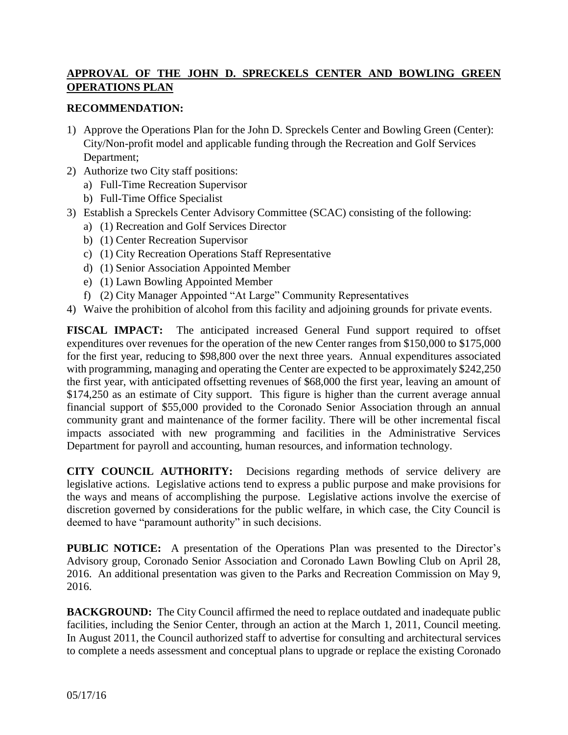## **APPROVAL OF THE JOHN D. SPRECKELS CENTER AND BOWLING GREEN OPERATIONS PLAN**

#### **RECOMMENDATION:**

- 1) Approve the Operations Plan for the John D. Spreckels Center and Bowling Green (Center): City/Non-profit model and applicable funding through the Recreation and Golf Services Department;
- 2) Authorize two City staff positions:
	- a) Full-Time Recreation Supervisor
	- b) Full-Time Office Specialist
- 3) Establish a Spreckels Center Advisory Committee (SCAC) consisting of the following:
	- a) (1) Recreation and Golf Services Director
	- b) (1) Center Recreation Supervisor
	- c) (1) City Recreation Operations Staff Representative
	- d) (1) Senior Association Appointed Member
	- e) (1) Lawn Bowling Appointed Member
	- f) (2) City Manager Appointed "At Large" Community Representatives
- 4) Waive the prohibition of alcohol from this facility and adjoining grounds for private events.

**FISCAL IMPACT:** The anticipated increased General Fund support required to offset expenditures over revenues for the operation of the new Center ranges from \$150,000 to \$175,000 for the first year, reducing to \$98,800 over the next three years. Annual expenditures associated with programming, managing and operating the Center are expected to be approximately \$242,250 the first year, with anticipated offsetting revenues of \$68,000 the first year, leaving an amount of \$174,250 as an estimate of City support. This figure is higher than the current average annual financial support of \$55,000 provided to the Coronado Senior Association through an annual community grant and maintenance of the former facility. There will be other incremental fiscal impacts associated with new programming and facilities in the Administrative Services Department for payroll and accounting, human resources, and information technology.

**CITY COUNCIL AUTHORITY:** Decisions regarding methods of service delivery are legislative actions. Legislative actions tend to express a public purpose and make provisions for the ways and means of accomplishing the purpose. Legislative actions involve the exercise of discretion governed by considerations for the public welfare, in which case, the City Council is deemed to have "paramount authority" in such decisions.

**PUBLIC NOTICE:** A presentation of the Operations Plan was presented to the Director's Advisory group, Coronado Senior Association and Coronado Lawn Bowling Club on April 28, 2016. An additional presentation was given to the Parks and Recreation Commission on May 9, 2016.

**BACKGROUND:** The City Council affirmed the need to replace outdated and inadequate public facilities, including the Senior Center, through an action at the March 1, 2011, Council meeting. In August 2011, the Council authorized staff to advertise for consulting and architectural services to complete a needs assessment and conceptual plans to upgrade or replace the existing Coronado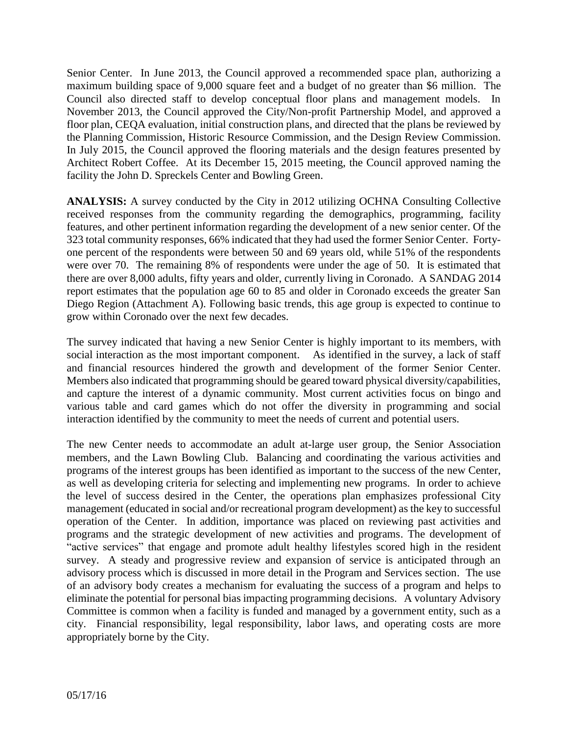Senior Center. In June 2013, the Council approved a recommended space plan, authorizing a maximum building space of 9,000 square feet and a budget of no greater than \$6 million. The Council also directed staff to develop conceptual floor plans and management models. In November 2013, the Council approved the City/Non-profit Partnership Model, and approved a floor plan, CEQA evaluation, initial construction plans, and directed that the plans be reviewed by the Planning Commission, Historic Resource Commission, and the Design Review Commission. In July 2015, the Council approved the flooring materials and the design features presented by Architect Robert Coffee. At its December 15, 2015 meeting, the Council approved naming the facility the John D. Spreckels Center and Bowling Green.

**ANALYSIS:** A survey conducted by the City in 2012 utilizing OCHNA Consulting Collective received responses from the community regarding the demographics, programming, facility features, and other pertinent information regarding the development of a new senior center. Of the 323 total community responses, 66% indicated that they had used the former Senior Center. Fortyone percent of the respondents were between 50 and 69 years old, while 51% of the respondents were over 70. The remaining 8% of respondents were under the age of 50. It is estimated that there are over 8,000 adults, fifty years and older, currently living in Coronado. A SANDAG 2014 report estimates that the population age 60 to 85 and older in Coronado exceeds the greater San Diego Region (Attachment A). Following basic trends, this age group is expected to continue to grow within Coronado over the next few decades.

The survey indicated that having a new Senior Center is highly important to its members, with social interaction as the most important component. As identified in the survey, a lack of staff and financial resources hindered the growth and development of the former Senior Center. Members also indicated that programming should be geared toward physical diversity/capabilities, and capture the interest of a dynamic community. Most current activities focus on bingo and various table and card games which do not offer the diversity in programming and social interaction identified by the community to meet the needs of current and potential users.

The new Center needs to accommodate an adult at-large user group, the Senior Association members, and the Lawn Bowling Club. Balancing and coordinating the various activities and programs of the interest groups has been identified as important to the success of the new Center, as well as developing criteria for selecting and implementing new programs. In order to achieve the level of success desired in the Center, the operations plan emphasizes professional City management (educated in social and/or recreational program development) as the key to successful operation of the Center. In addition, importance was placed on reviewing past activities and programs and the strategic development of new activities and programs. The development of "active services" that engage and promote adult healthy lifestyles scored high in the resident survey. A steady and progressive review and expansion of service is anticipated through an advisory process which is discussed in more detail in the Program and Services section. The use of an advisory body creates a mechanism for evaluating the success of a program and helps to eliminate the potential for personal bias impacting programming decisions. A voluntary Advisory Committee is common when a facility is funded and managed by a government entity, such as a city. Financial responsibility, legal responsibility, labor laws, and operating costs are more appropriately borne by the City.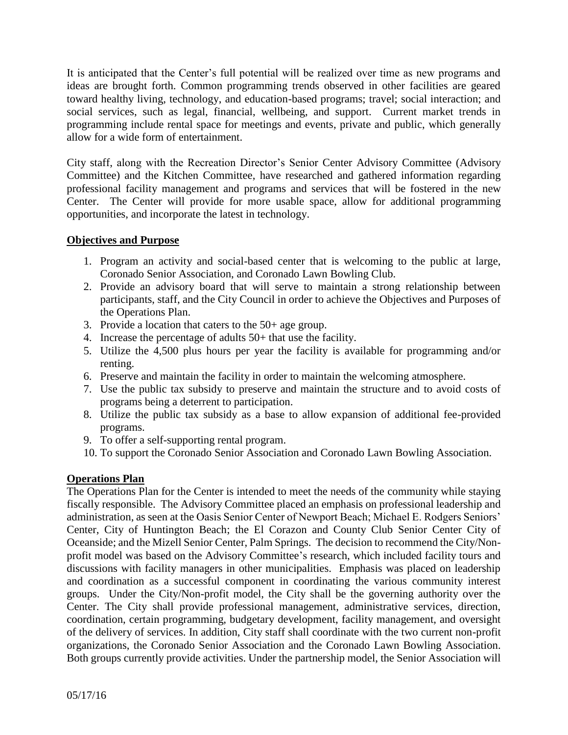It is anticipated that the Center's full potential will be realized over time as new programs and ideas are brought forth. Common programming trends observed in other facilities are geared toward healthy living, technology, and education-based programs; travel; social interaction; and social services, such as legal, financial, wellbeing, and support. Current market trends in programming include rental space for meetings and events, private and public, which generally allow for a wide form of entertainment.

City staff, along with the Recreation Director's Senior Center Advisory Committee (Advisory Committee) and the Kitchen Committee, have researched and gathered information regarding professional facility management and programs and services that will be fostered in the new Center. The Center will provide for more usable space, allow for additional programming opportunities, and incorporate the latest in technology.

## **Objectives and Purpose**

- 1. Program an activity and social-based center that is welcoming to the public at large, Coronado Senior Association, and Coronado Lawn Bowling Club.
- 2. Provide an advisory board that will serve to maintain a strong relationship between participants, staff, and the City Council in order to achieve the Objectives and Purposes of the Operations Plan.
- 3. Provide a location that caters to the 50+ age group.
- 4. Increase the percentage of adults 50+ that use the facility.
- 5. Utilize the 4,500 plus hours per year the facility is available for programming and/or renting.
- 6. Preserve and maintain the facility in order to maintain the welcoming atmosphere.
- 7. Use the public tax subsidy to preserve and maintain the structure and to avoid costs of programs being a deterrent to participation.
- 8. Utilize the public tax subsidy as a base to allow expansion of additional fee-provided programs.
- 9. To offer a self-supporting rental program.
- 10. To support the Coronado Senior Association and Coronado Lawn Bowling Association.

### **Operations Plan**

The Operations Plan for the Center is intended to meet the needs of the community while staying fiscally responsible. The Advisory Committee placed an emphasis on professional leadership and administration, as seen at the Oasis Senior Center of Newport Beach; Michael E. Rodgers Seniors' Center, City of Huntington Beach; the El Corazon and County Club Senior Center City of Oceanside; and the Mizell Senior Center, Palm Springs. The decision to recommend the City/Nonprofit model was based on the Advisory Committee's research, which included facility tours and discussions with facility managers in other municipalities. Emphasis was placed on leadership and coordination as a successful component in coordinating the various community interest groups. Under the City/Non-profit model, the City shall be the governing authority over the Center. The City shall provide professional management, administrative services, direction, coordination, certain programming, budgetary development, facility management, and oversight of the delivery of services. In addition, City staff shall coordinate with the two current non-profit organizations, the Coronado Senior Association and the Coronado Lawn Bowling Association. Both groups currently provide activities. Under the partnership model, the Senior Association will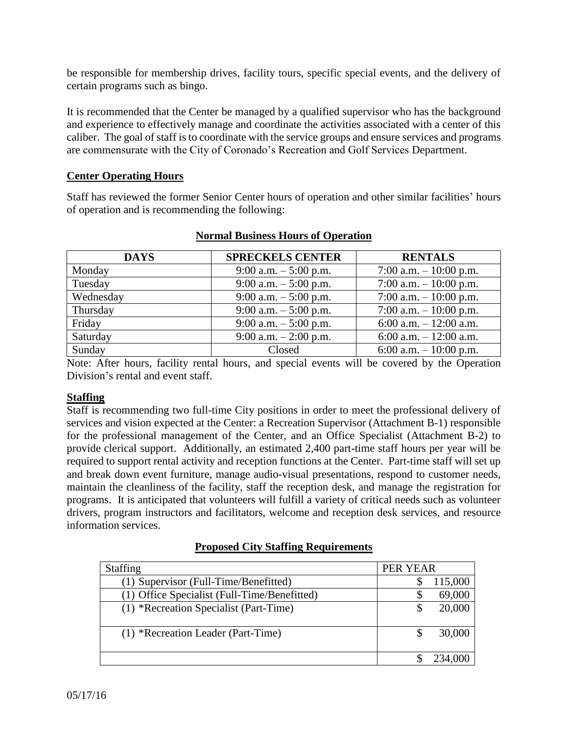be responsible for membership drives, facility tours, specific special events, and the delivery of certain programs such as bingo.

It is recommended that the Center be managed by a qualified supervisor who has the background and experience to effectively manage and coordinate the activities associated with a center of this caliber. The goal of staff is to coordinate with the service groups and ensure services and programs are commensurate with the City of Coronado's Recreation and Golf Services Department.

#### **Center Operating Hours**

Staff has reviewed the former Senior Center hours of operation and other similar facilities' hours of operation and is recommending the following:

| <b>DAYS</b> | <b>SPRECKELS CENTER</b>  | <b>RENTALS</b>          |
|-------------|--------------------------|-------------------------|
| Monday      | 9:00 a.m. $-5:00$ p.m.   | 7:00 a.m. $-10:00$ p.m. |
| Tuesday     | 9:00 a.m. $-$ 5:00 p.m.  | 7:00 a.m. $-10:00$ p.m. |
| Wednesday   | 9:00 a.m. $-5:00$ p.m.   | 7:00 a.m. $-10:00$ p.m. |
| Thursday    | $9:00$ a.m. $-5:00$ p.m. | 7:00 a.m. $-10:00$ p.m. |
| Friday      | 9:00 a.m. $-$ 5:00 p.m.  | 6:00 a.m. $-12:00$ a.m. |
| Saturday    | 9:00 a.m. $-2:00$ p.m.   | 6:00 a.m. $-12:00$ a.m. |
| Sunday      | Closed                   | 6:00 a.m. $-10:00$ p.m. |

#### **Normal Business Hours of Operation**

Note: After hours, facility rental hours, and special events will be covered by the Operation Division's rental and event staff.

### **Staffing**

Staff is recommending two full-time City positions in order to meet the professional delivery of services and vision expected at the Center: a Recreation Supervisor (Attachment B-1) responsible for the professional management of the Center, and an Office Specialist (Attachment B-2) to provide clerical support. Additionally, an estimated 2,400 part-time staff hours per year will be required to support rental activity and reception functions at the Center. Part-time staff will set up and break down event furniture, manage audio-visual presentations, respond to customer needs, maintain the cleanliness of the facility, staff the reception desk, and manage the registration for programs. It is anticipated that volunteers will fulfill a variety of critical needs such as volunteer drivers, program instructors and facilitators, welcome and reception desk services, and resource information services.

|  |  | <b>Proposed City Staffing Requirements</b> |
|--|--|--------------------------------------------|
|  |  |                                            |

| <b>Staffing</b>                              | PER YEAR |         |
|----------------------------------------------|----------|---------|
| (1) Supervisor (Full-Time/Benefitted)        |          | 115,000 |
|                                              |          |         |
| (1) Office Specialist (Full-Time/Benefitted) | Ж        | 69,000  |
| (1) *Recreation Specialist (Part-Time)       | S        | 20,000  |
|                                              |          |         |
| (1) *Recreation Leader (Part-Time)           |          | 30,000  |
|                                              |          |         |
|                                              |          |         |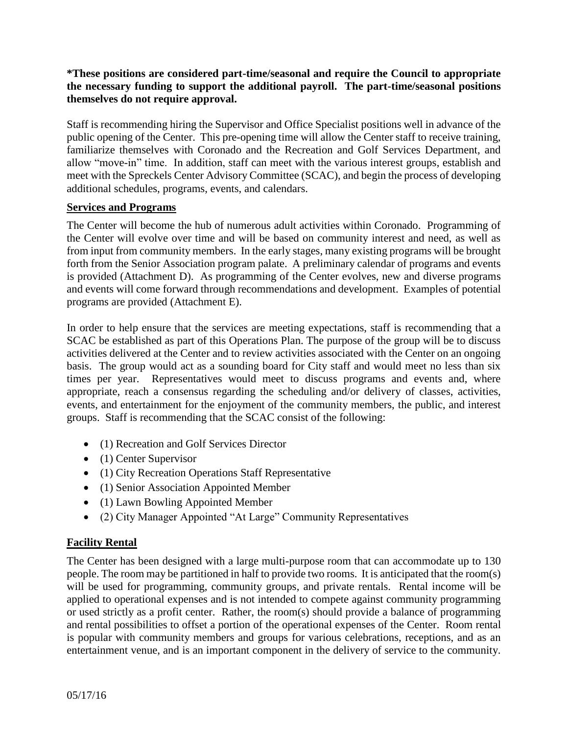**\*These positions are considered part-time/seasonal and require the Council to appropriate the necessary funding to support the additional payroll. The part-time/seasonal positions themselves do not require approval.**

Staff is recommending hiring the Supervisor and Office Specialist positions well in advance of the public opening of the Center. This pre-opening time will allow the Center staff to receive training, familiarize themselves with Coronado and the Recreation and Golf Services Department, and allow "move-in" time. In addition, staff can meet with the various interest groups, establish and meet with the Spreckels Center Advisory Committee (SCAC), and begin the process of developing additional schedules, programs, events, and calendars.

#### **Services and Programs**

The Center will become the hub of numerous adult activities within Coronado. Programming of the Center will evolve over time and will be based on community interest and need, as well as from input from community members. In the early stages, many existing programs will be brought forth from the Senior Association program palate. A preliminary calendar of programs and events is provided (Attachment D). As programming of the Center evolves, new and diverse programs and events will come forward through recommendations and development. Examples of potential programs are provided (Attachment E).

In order to help ensure that the services are meeting expectations, staff is recommending that a SCAC be established as part of this Operations Plan. The purpose of the group will be to discuss activities delivered at the Center and to review activities associated with the Center on an ongoing basis. The group would act as a sounding board for City staff and would meet no less than six times per year. Representatives would meet to discuss programs and events and, where appropriate, reach a consensus regarding the scheduling and/or delivery of classes, activities, events, and entertainment for the enjoyment of the community members, the public, and interest groups. Staff is recommending that the SCAC consist of the following:

- (1) Recreation and Golf Services Director
- (1) Center Supervisor
- (1) City Recreation Operations Staff Representative
- (1) Senior Association Appointed Member
- (1) Lawn Bowling Appointed Member
- (2) City Manager Appointed "At Large" Community Representatives

### **Facility Rental**

The Center has been designed with a large multi-purpose room that can accommodate up to 130 people. The room may be partitioned in half to provide two rooms. It is anticipated that the room(s) will be used for programming, community groups, and private rentals. Rental income will be applied to operational expenses and is not intended to compete against community programming or used strictly as a profit center. Rather, the room(s) should provide a balance of programming and rental possibilities to offset a portion of the operational expenses of the Center. Room rental is popular with community members and groups for various celebrations, receptions, and as an entertainment venue, and is an important component in the delivery of service to the community.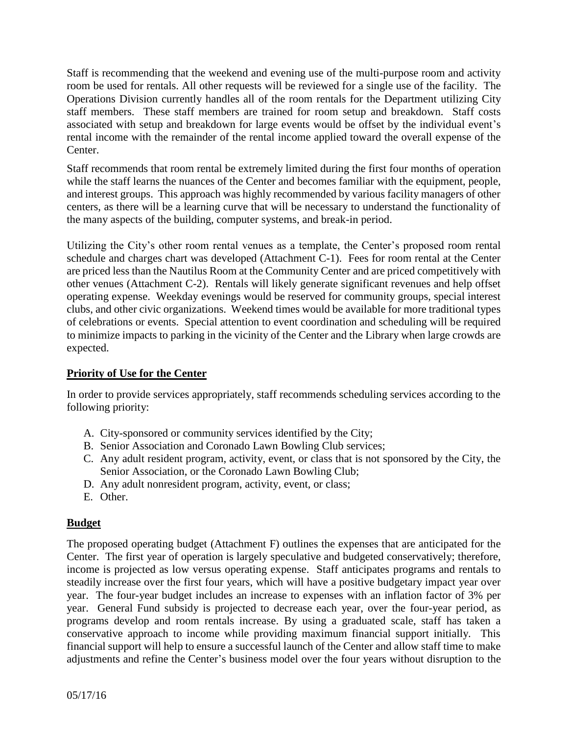Staff is recommending that the weekend and evening use of the multi-purpose room and activity room be used for rentals. All other requests will be reviewed for a single use of the facility. The Operations Division currently handles all of the room rentals for the Department utilizing City staff members. These staff members are trained for room setup and breakdown. Staff costs associated with setup and breakdown for large events would be offset by the individual event's rental income with the remainder of the rental income applied toward the overall expense of the Center.

Staff recommends that room rental be extremely limited during the first four months of operation while the staff learns the nuances of the Center and becomes familiar with the equipment, people, and interest groups. This approach was highly recommended by various facility managers of other centers, as there will be a learning curve that will be necessary to understand the functionality of the many aspects of the building, computer systems, and break-in period.

Utilizing the City's other room rental venues as a template, the Center's proposed room rental schedule and charges chart was developed (Attachment C-1). Fees for room rental at the Center are priced less than the Nautilus Room at the Community Center and are priced competitively with other venues (Attachment C-2). Rentals will likely generate significant revenues and help offset operating expense. Weekday evenings would be reserved for community groups, special interest clubs, and other civic organizations. Weekend times would be available for more traditional types of celebrations or events. Special attention to event coordination and scheduling will be required to minimize impacts to parking in the vicinity of the Center and the Library when large crowds are expected.

## **Priority of Use for the Center**

In order to provide services appropriately, staff recommends scheduling services according to the following priority:

- A. City-sponsored or community services identified by the City;
- B. Senior Association and Coronado Lawn Bowling Club services;
- C. Any adult resident program, activity, event, or class that is not sponsored by the City, the Senior Association, or the Coronado Lawn Bowling Club;
- D. Any adult nonresident program, activity, event, or class;
- E. Other.

### **Budget**

The proposed operating budget (Attachment F) outlines the expenses that are anticipated for the Center. The first year of operation is largely speculative and budgeted conservatively; therefore, income is projected as low versus operating expense. Staff anticipates programs and rentals to steadily increase over the first four years, which will have a positive budgetary impact year over year. The four-year budget includes an increase to expenses with an inflation factor of 3% per year. General Fund subsidy is projected to decrease each year, over the four-year period, as programs develop and room rentals increase. By using a graduated scale, staff has taken a conservative approach to income while providing maximum financial support initially. This financial support will help to ensure a successful launch of the Center and allow staff time to make adjustments and refine the Center's business model over the four years without disruption to the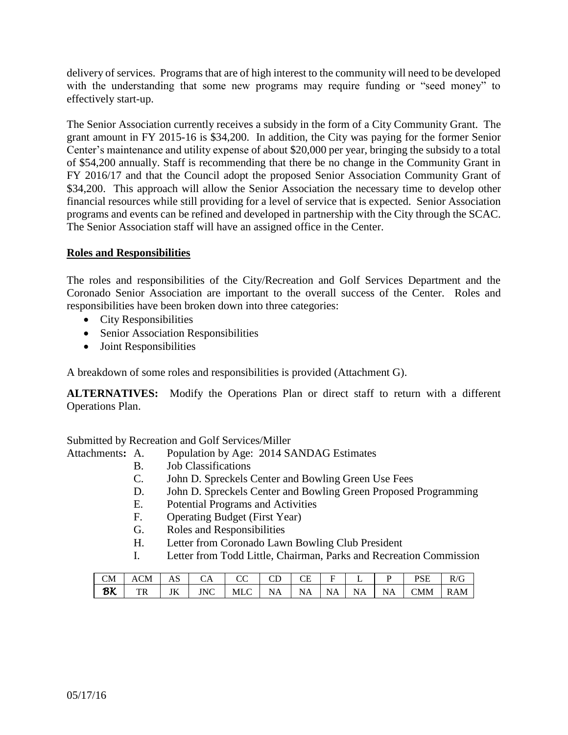delivery of services. Programs that are of high interest to the community will need to be developed with the understanding that some new programs may require funding or "seed money" to effectively start-up.

The Senior Association currently receives a subsidy in the form of a City Community Grant. The grant amount in FY 2015-16 is \$34,200. In addition, the City was paying for the former Senior Center's maintenance and utility expense of about \$20,000 per year, bringing the subsidy to a total of \$54,200 annually. Staff is recommending that there be no change in the Community Grant in FY 2016/17 and that the Council adopt the proposed Senior Association Community Grant of \$34,200. This approach will allow the Senior Association the necessary time to develop other financial resources while still providing for a level of service that is expected. Senior Association programs and events can be refined and developed in partnership with the City through the SCAC. The Senior Association staff will have an assigned office in the Center.

### **Roles and Responsibilities**

The roles and responsibilities of the City/Recreation and Golf Services Department and the Coronado Senior Association are important to the overall success of the Center. Roles and responsibilities have been broken down into three categories:

- City Responsibilities
- Senior Association Responsibilities
- Joint Responsibilities

A breakdown of some roles and responsibilities is provided (Attachment G).

**ALTERNATIVES:** Modify the Operations Plan or direct staff to return with a different Operations Plan.

Submitted by Recreation and Golf Services/Miller

- Attachments**:** A. Population by Age: 2014 SANDAG Estimates
	- B. Job Classifications
	- C. John D. Spreckels Center and Bowling Green Use Fees
	- D. John D. Spreckels Center and Bowling Green Proposed Programming
	- E. Potential Programs and Activities
	- F. Operating Budget (First Year)
	- G. Roles and Responsibilities
	- H. Letter from Coronado Lawn Bowling Club President
	- I. Letter from Todd Little, Chairman, Parks and Recreation Commission

| <b>CM</b> | <b>ACM</b> | AS | CА         | $\sim$ $\sim$<br>w | $\sim$<br>ىب | CΕ<br>്പ | ∽         | -  |           | <b>PSE</b><br>- שנ | D/G<br>U<br>TV. |
|-----------|------------|----|------------|--------------------|--------------|----------|-----------|----|-----------|--------------------|-----------------|
| BK        | тp<br>1 K  | JK | <b>JNC</b> | MLC                | А<br>.       | N<br>ΝA  | <b>NA</b> | ΝA | <b>NA</b> | CMM                | <b>RAM</b>      |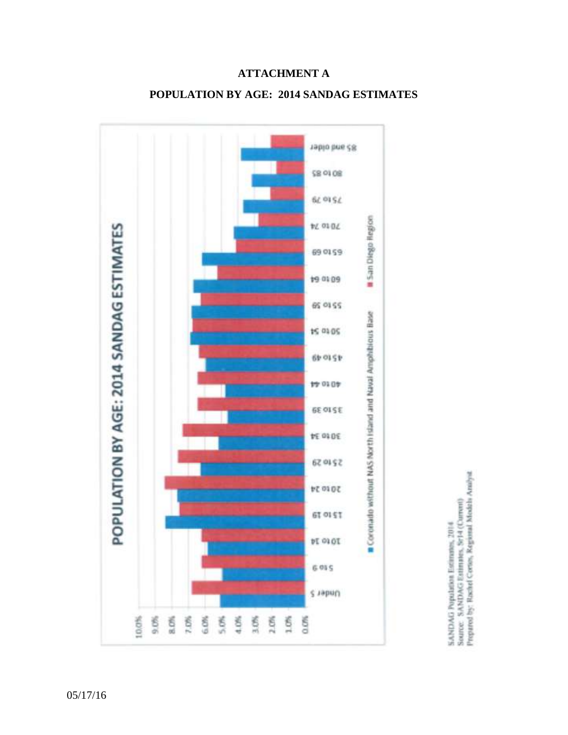

# **ATTACHMENT A**

# **POPULATION BY AGE: 2014 SANDAG ESTIMATES**

SANDAG Population Estimatos, 2014<br>Source - SANDAG Estimatos, 8r14 (Current)<br>Prepared by: Rachel Coross, Regional Models Analyst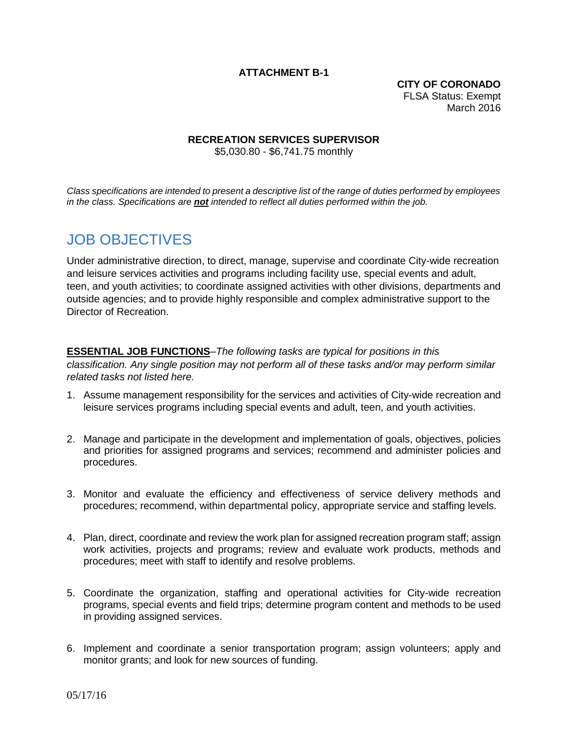#### **ATTACHMENT B-1**

**CITY OF CORONADO** FLSA Status: Exempt March 2016

#### **RECREATION SERVICES SUPERVISOR**

\$5,030.80 - \$6,741.75 monthly

*Class specifications are intended to present a descriptive list of the range of duties performed by employees in the class. Specifications are not intended to reflect all duties performed within the job.*

# JOB OBJECTIVES

Under administrative direction, to direct, manage, supervise and coordinate City-wide recreation and leisure services activities and programs including facility use, special events and adult, teen, and youth activities; to coordinate assigned activities with other divisions, departments and outside agencies; and to provide highly responsible and complex administrative support to the Director of Recreation.

# **ESSENTIAL JOB FUNCTIONS**–*The following tasks are typical for positions in this*

*classification. Any single position may not perform all of these tasks and/or may perform similar related tasks not listed here.*

- 1. Assume management responsibility for the services and activities of City-wide recreation and leisure services programs including special events and adult, teen, and youth activities.
- 2. Manage and participate in the development and implementation of goals, objectives, policies and priorities for assigned programs and services; recommend and administer policies and procedures.
- 3. Monitor and evaluate the efficiency and effectiveness of service delivery methods and procedures; recommend, within departmental policy, appropriate service and staffing levels.
- 4. Plan, direct, coordinate and review the work plan for assigned recreation program staff; assign work activities, projects and programs; review and evaluate work products, methods and procedures; meet with staff to identify and resolve problems.
- 5. Coordinate the organization, staffing and operational activities for City-wide recreation programs, special events and field trips; determine program content and methods to be used in providing assigned services.
- 6. Implement and coordinate a senior transportation program; assign volunteers; apply and monitor grants; and look for new sources of funding.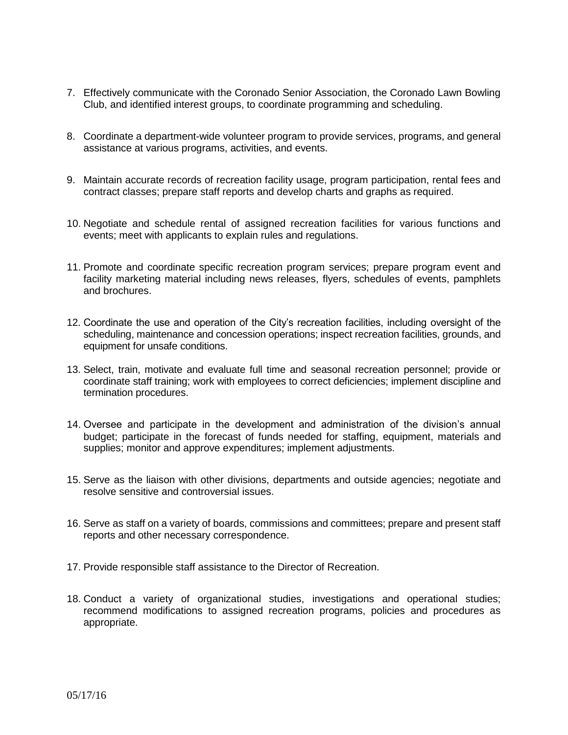- 7. Effectively communicate with the Coronado Senior Association, the Coronado Lawn Bowling Club, and identified interest groups, to coordinate programming and scheduling.
- 8. Coordinate a department-wide volunteer program to provide services, programs, and general assistance at various programs, activities, and events.
- 9. Maintain accurate records of recreation facility usage, program participation, rental fees and contract classes; prepare staff reports and develop charts and graphs as required.
- 10. Negotiate and schedule rental of assigned recreation facilities for various functions and events; meet with applicants to explain rules and regulations.
- 11. Promote and coordinate specific recreation program services; prepare program event and facility marketing material including news releases, flyers, schedules of events, pamphlets and brochures.
- 12. Coordinate the use and operation of the City's recreation facilities, including oversight of the scheduling, maintenance and concession operations; inspect recreation facilities, grounds, and equipment for unsafe conditions.
- 13. Select, train, motivate and evaluate full time and seasonal recreation personnel; provide or coordinate staff training; work with employees to correct deficiencies; implement discipline and termination procedures.
- 14. Oversee and participate in the development and administration of the division's annual budget; participate in the forecast of funds needed for staffing, equipment, materials and supplies; monitor and approve expenditures; implement adjustments.
- 15. Serve as the liaison with other divisions, departments and outside agencies; negotiate and resolve sensitive and controversial issues.
- 16. Serve as staff on a variety of boards, commissions and committees; prepare and present staff reports and other necessary correspondence.
- 17. Provide responsible staff assistance to the Director of Recreation.
- 18. Conduct a variety of organizational studies, investigations and operational studies; recommend modifications to assigned recreation programs, policies and procedures as appropriate.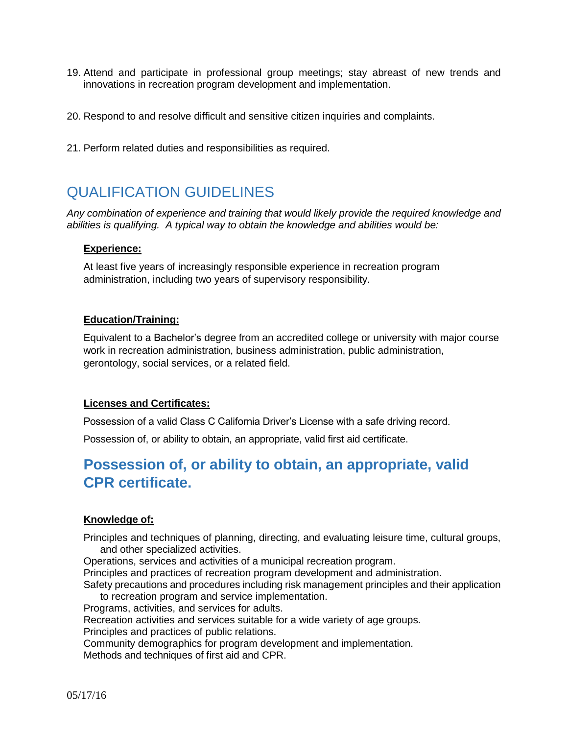- 19. Attend and participate in professional group meetings; stay abreast of new trends and innovations in recreation program development and implementation.
- 20. Respond to and resolve difficult and sensitive citizen inquiries and complaints.
- 21. Perform related duties and responsibilities as required.

# QUALIFICATION GUIDELINES

*Any combination of experience and training that would likely provide the required knowledge and abilities is qualifying. A typical way to obtain the knowledge and abilities would be:*

#### **Experience:**

At least five years of increasingly responsible experience in recreation program administration, including two years of supervisory responsibility.

#### **Education/Training:**

Equivalent to a Bachelor's degree from an accredited college or university with major course work in recreation administration, business administration, public administration, gerontology, social services, or a related field.

#### **Licenses and Certificates:**

Possession of a valid Class C California Driver's License with a safe driving record.

Possession of, or ability to obtain, an appropriate, valid first aid certificate.

# **Possession of, or ability to obtain, an appropriate, valid CPR certificate.**

#### **Knowledge of:**

Principles and techniques of planning, directing, and evaluating leisure time, cultural groups, and other specialized activities.

Operations, services and activities of a municipal recreation program.

Principles and practices of recreation program development and administration.

Safety precautions and procedures including risk management principles and their application to recreation program and service implementation.

Programs, activities, and services for adults.

Recreation activities and services suitable for a wide variety of age groups.

Principles and practices of public relations.

Community demographics for program development and implementation.

Methods and techniques of first aid and CPR.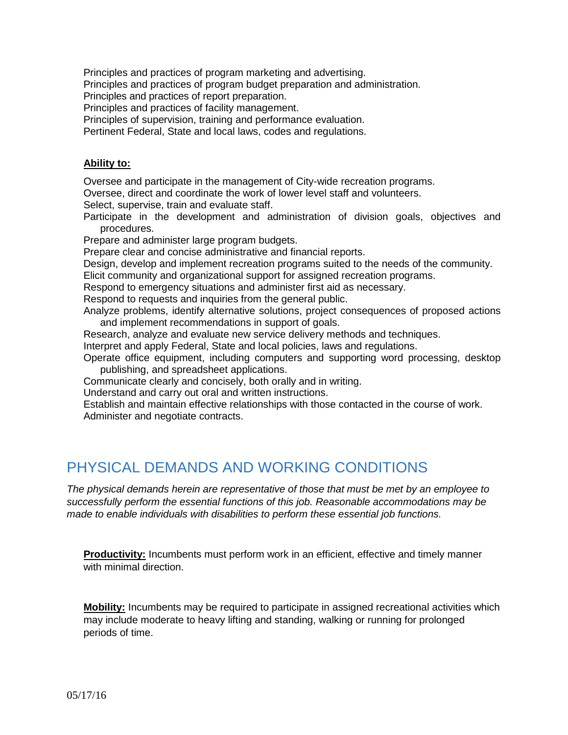Principles and practices of program marketing and advertising.

Principles and practices of program budget preparation and administration.

Principles and practices of report preparation.

Principles and practices of facility management.

Principles of supervision, training and performance evaluation.

Pertinent Federal, State and local laws, codes and regulations.

#### **Ability to:**

Oversee and participate in the management of City-wide recreation programs.

Oversee, direct and coordinate the work of lower level staff and volunteers.

Select, supervise, train and evaluate staff.

Participate in the development and administration of division goals, objectives and procedures.

Prepare and administer large program budgets.

Prepare clear and concise administrative and financial reports.

Design, develop and implement recreation programs suited to the needs of the community.

Elicit community and organizational support for assigned recreation programs.

Respond to emergency situations and administer first aid as necessary.

Respond to requests and inquiries from the general public.

Analyze problems, identify alternative solutions, project consequences of proposed actions and implement recommendations in support of goals.

Research, analyze and evaluate new service delivery methods and techniques.

Interpret and apply Federal, State and local policies, laws and regulations.

Operate office equipment, including computers and supporting word processing, desktop publishing, and spreadsheet applications.

Communicate clearly and concisely, both orally and in writing.

Understand and carry out oral and written instructions.

Establish and maintain effective relationships with those contacted in the course of work. Administer and negotiate contracts.

# PHYSICAL DEMANDS AND WORKING CONDITIONS

*The physical demands herein are representative of those that must be met by an employee to successfully perform the essential functions of this job. Reasonable accommodations may be made to enable individuals with disabilities to perform these essential job functions.*

**Productivity:** Incumbents must perform work in an efficient, effective and timely manner with minimal direction.

**Mobility:** Incumbents may be required to participate in assigned recreational activities which may include moderate to heavy lifting and standing, walking or running for prolonged periods of time.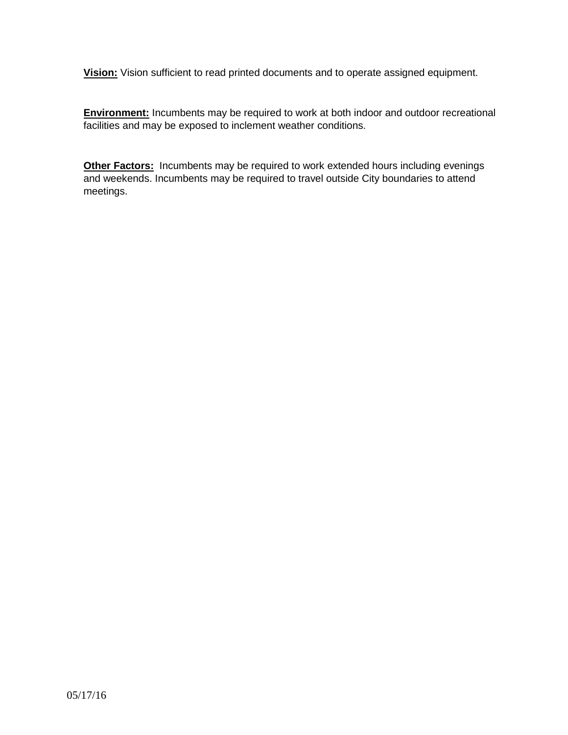**Vision:** Vision sufficient to read printed documents and to operate assigned equipment.

**Environment:** Incumbents may be required to work at both indoor and outdoor recreational facilities and may be exposed to inclement weather conditions.

**Other Factors:** Incumbents may be required to work extended hours including evenings and weekends. Incumbents may be required to travel outside City boundaries to attend meetings.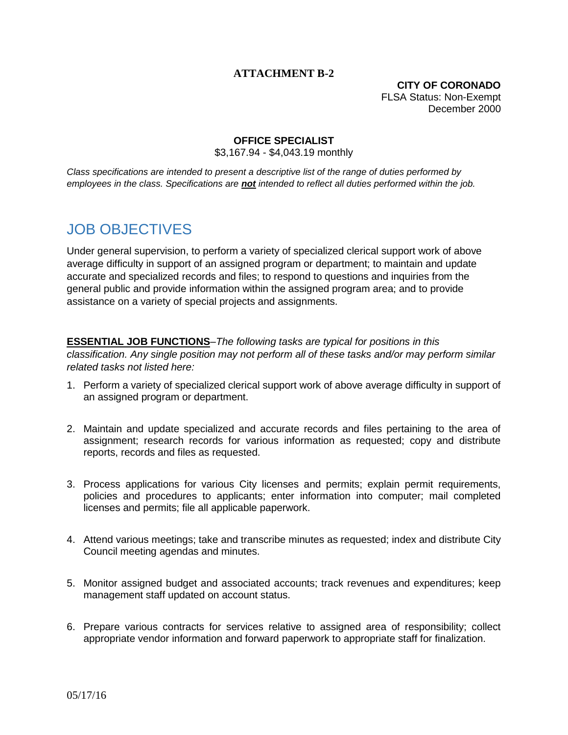### **ATTACHMENT B-2**

**CITY OF CORONADO** FLSA Status: Non-Exempt December 2000

#### **OFFICE SPECIALIST**

\$3,167.94 - \$4,043.19 monthly

*Class specifications are intended to present a descriptive list of the range of duties performed by employees in the class. Specifications are not intended to reflect all duties performed within the job.*

# JOB OBJECTIVES

Under general supervision, to perform a variety of specialized clerical support work of above average difficulty in support of an assigned program or department; to maintain and update accurate and specialized records and files; to respond to questions and inquiries from the general public and provide information within the assigned program area; and to provide assistance on a variety of special projects and assignments.

**ESSENTIAL JOB FUNCTIONS**–*The following tasks are typical for positions in this classification. Any single position may not perform all of these tasks and/or may perform similar related tasks not listed here:*

- 1. Perform a variety of specialized clerical support work of above average difficulty in support of an assigned program or department.
- 2. Maintain and update specialized and accurate records and files pertaining to the area of assignment; research records for various information as requested; copy and distribute reports, records and files as requested.
- 3. Process applications for various City licenses and permits; explain permit requirements, policies and procedures to applicants; enter information into computer; mail completed licenses and permits; file all applicable paperwork.
- 4. Attend various meetings; take and transcribe minutes as requested; index and distribute City Council meeting agendas and minutes.
- 5. Monitor assigned budget and associated accounts; track revenues and expenditures; keep management staff updated on account status.
- 6. Prepare various contracts for services relative to assigned area of responsibility; collect appropriate vendor information and forward paperwork to appropriate staff for finalization.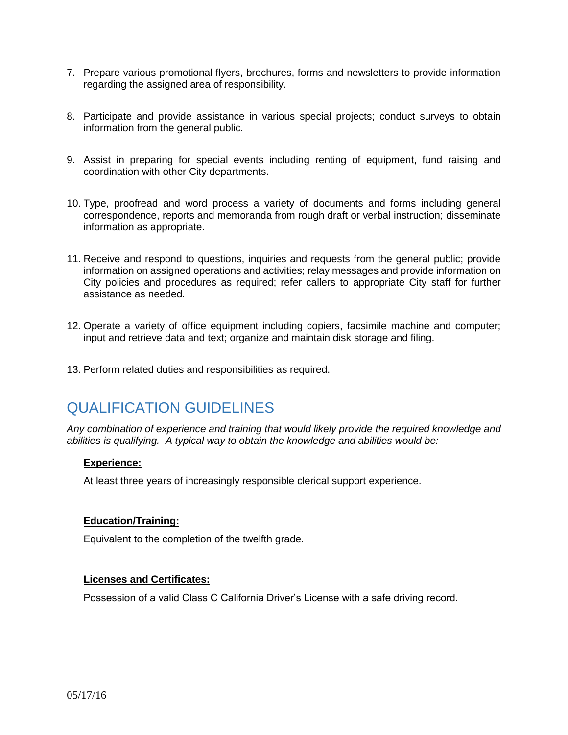- 7. Prepare various promotional flyers, brochures, forms and newsletters to provide information regarding the assigned area of responsibility.
- 8. Participate and provide assistance in various special projects; conduct surveys to obtain information from the general public.
- 9. Assist in preparing for special events including renting of equipment, fund raising and coordination with other City departments.
- 10. Type, proofread and word process a variety of documents and forms including general correspondence, reports and memoranda from rough draft or verbal instruction; disseminate information as appropriate.
- 11. Receive and respond to questions, inquiries and requests from the general public; provide information on assigned operations and activities; relay messages and provide information on City policies and procedures as required; refer callers to appropriate City staff for further assistance as needed.
- 12. Operate a variety of office equipment including copiers, facsimile machine and computer; input and retrieve data and text; organize and maintain disk storage and filing.
- 13. Perform related duties and responsibilities as required.

# QUALIFICATION GUIDELINES

*Any combination of experience and training that would likely provide the required knowledge and abilities is qualifying. A typical way to obtain the knowledge and abilities would be:*

#### **Experience:**

At least three years of increasingly responsible clerical support experience.

#### **Education/Training:**

Equivalent to the completion of the twelfth grade.

#### **Licenses and Certificates:**

Possession of a valid Class C California Driver's License with a safe driving record.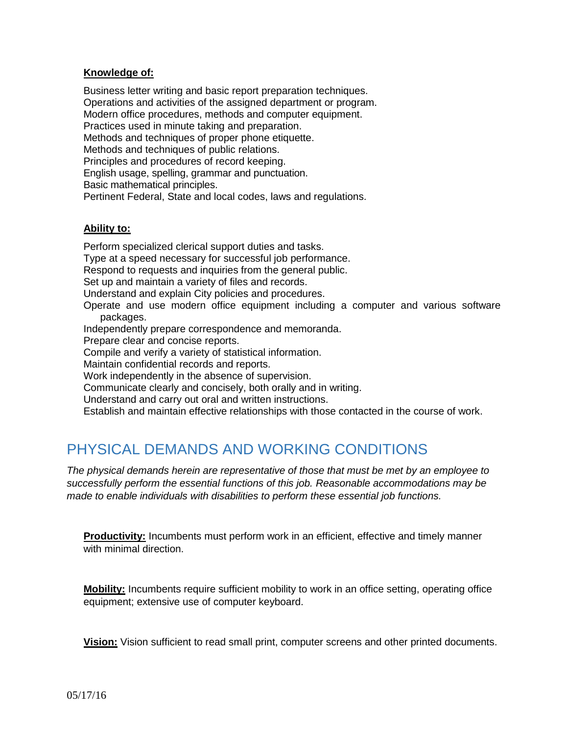#### **Knowledge of:**

Business letter writing and basic report preparation techniques. Operations and activities of the assigned department or program. Modern office procedures, methods and computer equipment. Practices used in minute taking and preparation. Methods and techniques of proper phone etiquette. Methods and techniques of public relations. Principles and procedures of record keeping. English usage, spelling, grammar and punctuation. Basic mathematical principles. Pertinent Federal, State and local codes, laws and regulations.

#### **Ability to:**

Perform specialized clerical support duties and tasks. Type at a speed necessary for successful job performance. Respond to requests and inquiries from the general public. Set up and maintain a variety of files and records. Understand and explain City policies and procedures. Operate and use modern office equipment including a computer and various software packages. Independently prepare correspondence and memoranda. Prepare clear and concise reports. Compile and verify a variety of statistical information. Maintain confidential records and reports. Work independently in the absence of supervision. Communicate clearly and concisely, both orally and in writing. Understand and carry out oral and written instructions. Establish and maintain effective relationships with those contacted in the course of work.

# PHYSICAL DEMANDS AND WORKING CONDITIONS

*The physical demands herein are representative of those that must be met by an employee to successfully perform the essential functions of this job. Reasonable accommodations may be made to enable individuals with disabilities to perform these essential job functions.*

**Productivity:** Incumbents must perform work in an efficient, effective and timely manner with minimal direction.

**Mobility:** Incumbents require sufficient mobility to work in an office setting, operating office equipment; extensive use of computer keyboard.

**Vision:** Vision sufficient to read small print, computer screens and other printed documents.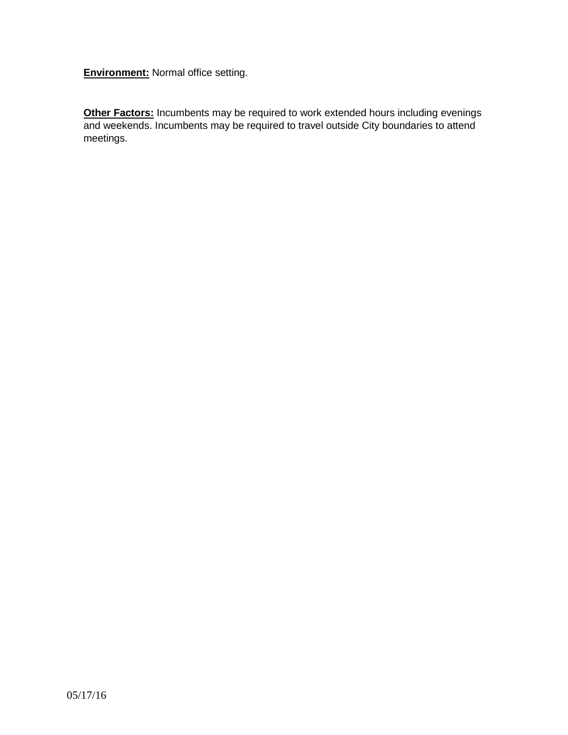**Environment:** Normal office setting.

**Other Factors:** Incumbents may be required to work extended hours including evenings and weekends. Incumbents may be required to travel outside City boundaries to attend meetings.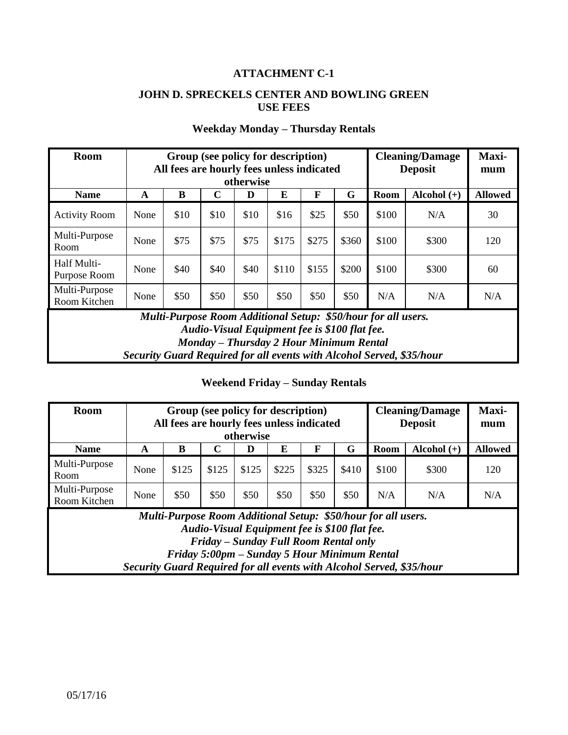### **ATTACHMENT C-1**

## **JOHN D. SPRECKELS CENTER AND BOWLING GREEN USE FEES**

| <b>Room</b>                   |                                                                       | All fees are hourly fees unless indicated                     |             | Group (see policy for description)                                                       |       |       |       |       | <b>Cleaning/Damage</b><br><b>Deposit</b> | Maxi-<br>mum   |
|-------------------------------|-----------------------------------------------------------------------|---------------------------------------------------------------|-------------|------------------------------------------------------------------------------------------|-------|-------|-------|-------|------------------------------------------|----------------|
|                               |                                                                       |                                                               |             | otherwise                                                                                |       |       |       |       |                                          |                |
| <b>Name</b>                   | A                                                                     | B                                                             | $\mathbf C$ | D                                                                                        | E     | F     | G     | Room  | Alcohol $(+)$                            | <b>Allowed</b> |
| <b>Activity Room</b>          | None                                                                  | \$10                                                          | \$10        | \$10                                                                                     | \$16  | \$25  | \$50  | \$100 | N/A                                      | 30             |
| Multi-Purpose<br>Room         | None                                                                  | \$75                                                          | \$75        | \$75                                                                                     | \$175 | \$275 | \$360 | \$100 | \$300                                    | 120            |
| Half Multi-<br>Purpose Room   | None                                                                  | \$40                                                          | \$40        | \$40                                                                                     | \$110 | \$155 | \$200 | \$100 | \$300                                    | 60             |
| Multi-Purpose<br>Room Kitchen | \$50<br>\$50<br>\$50<br>\$50<br>\$50<br>\$50<br>N/A<br>None           | N/A                                                           | N/A         |                                                                                          |       |       |       |       |                                          |                |
|                               |                                                                       | Multi-Purpose Room Additional Setup: \$50/hour for all users. |             | Audio-Visual Equipment fee is \$100 flat fee.<br>Monday – Thursday 2 Hour Minimum Rental |       |       |       |       |                                          |                |
|                               | Security Guard Required for all events with Alcohol Served, \$35/hour |                                                               |             |                                                                                          |       |       |       |       |                                          |                |

# **Weekday Monday – Thursday Rentals**

### **Weekend Friday – Sunday Rentals**

| <b>Room</b>                   |                                                      | Group (see policy for description)<br>All fees are hourly fees unless indicated |                                                                                        | otherwise |       |       |       |                                                               | <b>Cleaning/Damage</b><br><b>Deposit</b>                              | Maxi-<br>mum   |
|-------------------------------|------------------------------------------------------|---------------------------------------------------------------------------------|----------------------------------------------------------------------------------------|-----------|-------|-------|-------|---------------------------------------------------------------|-----------------------------------------------------------------------|----------------|
| <b>Name</b>                   | A                                                    | B                                                                               |                                                                                        | D         | E     | F     | G     | Room                                                          | Alcohol $(+)$                                                         | <b>Allowed</b> |
| Multi-Purpose<br>Room         | None                                                 | \$125                                                                           | \$125                                                                                  | \$125     | \$225 | \$325 | \$410 | \$100                                                         | \$300                                                                 | 120            |
| Multi-Purpose<br>Room Kitchen | \$50<br>\$50<br>\$50<br>\$50<br>\$50<br>\$50<br>None |                                                                                 | N/A                                                                                    | N/A       |       |       |       |                                                               |                                                                       |                |
|                               |                                                      | Friday 5:00pm - Sunday 5 Hour Minimum Rental                                    | Audio-Visual Equipment fee is \$100 flat fee.<br>Friday – Sunday Full Room Rental only |           |       |       |       | Multi-Purpose Room Additional Setup: \$50/hour for all users. | Security Guard Required for all events with Alcohol Served, \$35/hour |                |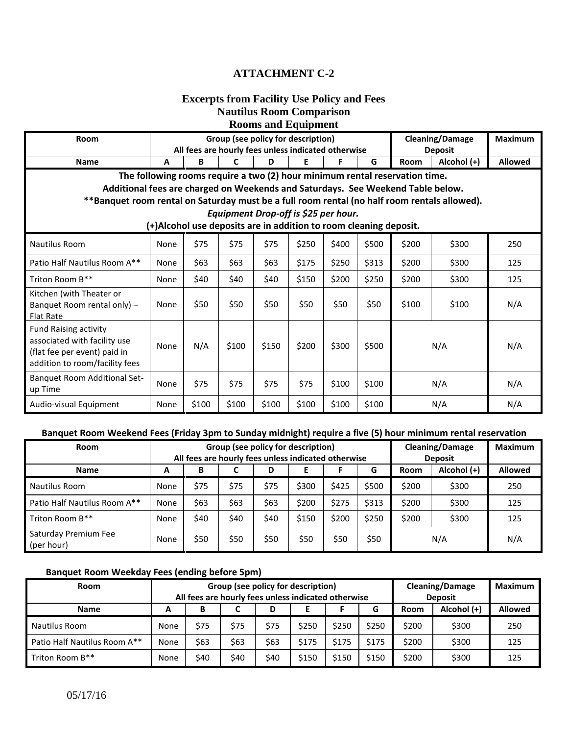## **ATTACHMENT C-2**

#### **Excerpts from Facility Use Policy and Fees Nautilus Room Comparison Rooms and Equipment**

| <b>Room</b>                                                                                                                    |      |       |       | Group (see policy for description)                                |       |       |       |                                                                             | <b>Cleaning/Damage</b> | <b>Maximum</b> |
|--------------------------------------------------------------------------------------------------------------------------------|------|-------|-------|-------------------------------------------------------------------|-------|-------|-------|-----------------------------------------------------------------------------|------------------------|----------------|
|                                                                                                                                |      |       |       | All fees are hourly fees unless indicated otherwise               |       |       |       |                                                                             | <b>Deposit</b>         |                |
| <b>Name</b>                                                                                                                    | A    | B     | C     | D                                                                 | Е     | F     | G     | Room                                                                        | Alcohol (+)            | <b>Allowed</b> |
|                                                                                                                                |      |       |       |                                                                   |       |       |       | The following rooms require a two (2) hour minimum rental reservation time. |                        |                |
| Additional fees are charged on Weekends and Saturdays. See Weekend Table below.                                                |      |       |       |                                                                   |       |       |       |                                                                             |                        |                |
| **Banquet room rental on Saturday must be a full room rental (no half room rentals allowed).                                   |      |       |       |                                                                   |       |       |       |                                                                             |                        |                |
|                                                                                                                                |      |       |       | Equipment Drop-off is \$25 per hour.                              |       |       |       |                                                                             |                        |                |
|                                                                                                                                |      |       |       | (+)Alcohol use deposits are in addition to room cleaning deposit. |       |       |       |                                                                             |                        |                |
| <b>Nautilus Room</b>                                                                                                           | None | \$75  | \$75  | \$75                                                              | \$250 | \$400 | \$500 | \$200                                                                       | \$300                  | 250            |
| Patio Half Nautilus Room A**                                                                                                   | None | \$63  | \$63  | \$63                                                              | \$175 | \$250 | \$313 | \$200                                                                       | \$300                  | 125            |
| Triton Room B**                                                                                                                | None | \$40  | \$40  | \$40                                                              | \$150 | \$200 | \$250 | \$200                                                                       | \$300                  | 125            |
| Kitchen (with Theater or<br>Banquet Room rental only) -<br><b>Flat Rate</b>                                                    | None | \$50  | \$50  | \$50                                                              | \$50  | \$50  | \$50  | \$100                                                                       | \$100                  | N/A            |
| <b>Fund Raising activity</b><br>associated with facility use<br>(flat fee per event) paid in<br>addition to room/facility fees | None | N/A   | \$100 | \$150                                                             | \$200 | \$300 | \$500 |                                                                             | N/A                    | N/A            |
| Banquet Room Additional Set-<br>up Time                                                                                        | None | \$75  | \$75  | \$75                                                              | \$75  | \$100 | \$100 |                                                                             | N/A                    | N/A            |
| Audio-visual Equipment                                                                                                         | None | \$100 | \$100 | \$100                                                             | \$100 | \$100 | \$100 |                                                                             | N/A                    | N/A            |

### **Banquet Room Weekend Fees (Friday 3pm to Sunday midnight) require a five (5) hour minimum rental reservation**

| <b>Room</b>                        |      |      |      |      | Group (see policy for description)<br>All fees are hourly fees unless indicated otherwise |       |       |             | <b>Cleaning/Damage</b><br><b>Deposit</b> | <b>Maximum</b> |
|------------------------------------|------|------|------|------|-------------------------------------------------------------------------------------------|-------|-------|-------------|------------------------------------------|----------------|
| <b>Name</b>                        | A    | В    | C    | D    |                                                                                           |       | G     | <b>Room</b> | Alcohol (+)                              | <b>Allowed</b> |
| Nautilus Room                      | None | \$75 | \$75 | \$75 | \$300                                                                                     | \$425 | \$500 | \$200       | \$300                                    | 250            |
| Patio Half Nautilus Room A**       | None | \$63 | \$63 | \$63 | \$200                                                                                     | \$275 | \$313 | \$200       | \$300                                    | 125            |
| Triton Room B**                    | None | \$40 | \$40 | \$40 | \$150                                                                                     | \$200 | \$250 | \$200       | \$300                                    | 125            |
| Saturday Premium Fee<br>(per hour) | None | \$50 | \$50 | \$50 | \$50                                                                                      | \$50  | \$50  |             | N/A                                      | N/A            |

#### **Banquet Room Weekday Fees (ending before 5pm)**

| <b>Room</b>                  |      |                                                     |      |      | Group (see policy for description) |       |       |             | <b>Cleaning/Damage</b> | <b>Maximum</b> |
|------------------------------|------|-----------------------------------------------------|------|------|------------------------------------|-------|-------|-------------|------------------------|----------------|
|                              |      | All fees are hourly fees unless indicated otherwise |      |      |                                    |       |       |             | <b>Deposit</b>         |                |
| <b>Name</b>                  | А    | В                                                   |      | D    |                                    |       | G     | <b>Room</b> | Alcohol (+)            | <b>Allowed</b> |
| Nautilus Room                | None | \$75                                                | \$75 | \$75 | \$250                              | \$250 | \$250 | \$200       | \$300                  | 250            |
| Patio Half Nautilus Room A** | None | \$63                                                | \$63 | \$63 | \$175                              | \$175 | \$175 | \$200       | \$300                  | 125            |
| Triton Room B**              | None | \$40                                                | \$40 | \$40 | \$150                              | \$150 | \$150 | \$200       | \$300                  | 125            |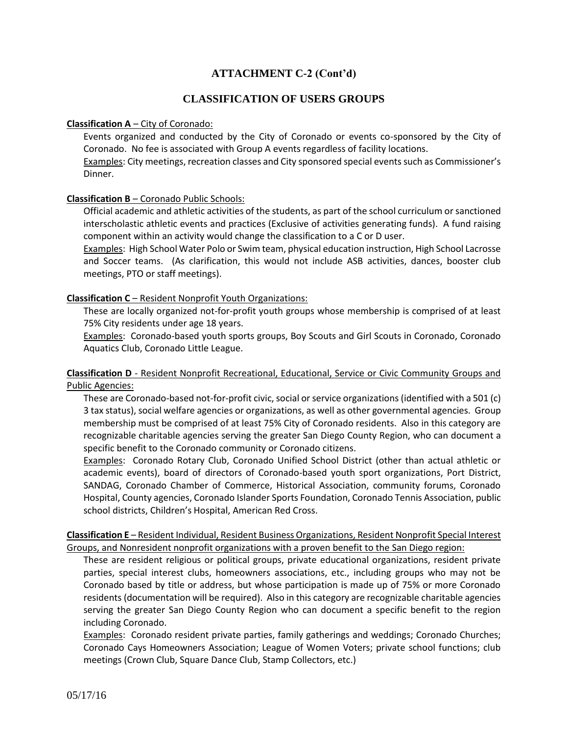## **ATTACHMENT C-2 (Cont'd)**

#### **CLASSIFICATION OF USERS GROUPS**

#### **Classification A** – City of Coronado:

Events organized and conducted by the City of Coronado or events co-sponsored by the City of Coronado. No fee is associated with Group A events regardless of facility locations.

Examples: City meetings, recreation classes and City sponsored special events such as Commissioner's Dinner.

#### **Classification B** – Coronado Public Schools:

Official academic and athletic activities of the students, as part of the school curriculum or sanctioned interscholastic athletic events and practices (Exclusive of activities generating funds). A fund raising component within an activity would change the classification to a C or D user.

Examples: High School Water Polo or Swim team, physical education instruction, High School Lacrosse and Soccer teams. (As clarification, this would not include ASB activities, dances, booster club meetings, PTO or staff meetings).

#### **Classification C** – Resident Nonprofit Youth Organizations:

These are locally organized not-for-profit youth groups whose membership is comprised of at least 75% City residents under age 18 years.

Examples: Coronado-based youth sports groups, Boy Scouts and Girl Scouts in Coronado, Coronado Aquatics Club, Coronado Little League.

#### **Classification D** - Resident Nonprofit Recreational, Educational, Service or Civic Community Groups and Public Agencies:

These are Coronado-based not-for-profit civic, social or service organizations (identified with a 501 (c) 3 tax status), social welfare agencies or organizations, as well as other governmental agencies. Group membership must be comprised of at least 75% City of Coronado residents. Also in this category are recognizable charitable agencies serving the greater San Diego County Region, who can document a specific benefit to the Coronado community or Coronado citizens.

Examples: Coronado Rotary Club, Coronado Unified School District (other than actual athletic or academic events), board of directors of Coronado-based youth sport organizations, Port District, SANDAG, Coronado Chamber of Commerce, Historical Association, community forums, Coronado Hospital, County agencies, Coronado Islander Sports Foundation, Coronado Tennis Association, public school districts, Children's Hospital, American Red Cross.

**Classification E** – Resident Individual, Resident Business Organizations, Resident Nonprofit Special Interest Groups, and Nonresident nonprofit organizations with a proven benefit to the San Diego region:

These are resident religious or political groups, private educational organizations, resident private parties, special interest clubs, homeowners associations, etc., including groups who may not be Coronado based by title or address, but whose participation is made up of 75% or more Coronado residents (documentation will be required). Also in this category are recognizable charitable agencies serving the greater San Diego County Region who can document a specific benefit to the region including Coronado.

Examples: Coronado resident private parties, family gatherings and weddings; Coronado Churches; Coronado Cays Homeowners Association; League of Women Voters; private school functions; club meetings (Crown Club, Square Dance Club, Stamp Collectors, etc.)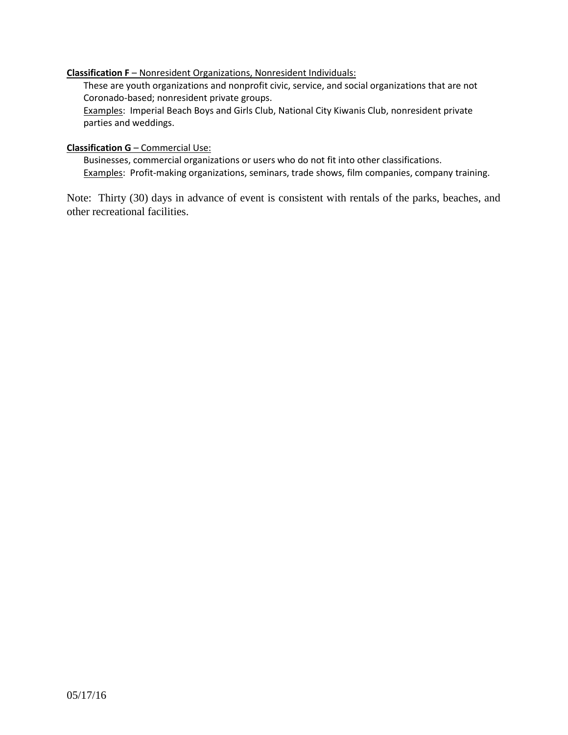#### **Classification F** – Nonresident Organizations, Nonresident Individuals:

These are youth organizations and nonprofit civic, service, and social organizations that are not Coronado-based; nonresident private groups.

Examples: Imperial Beach Boys and Girls Club, National City Kiwanis Club, nonresident private parties and weddings.

#### **Classification G** – Commercial Use:

Businesses, commercial organizations or users who do not fit into other classifications. Examples: Profit-making organizations, seminars, trade shows, film companies, company training.

Note: Thirty (30) days in advance of event is consistent with rentals of the parks, beaches, and other recreational facilities.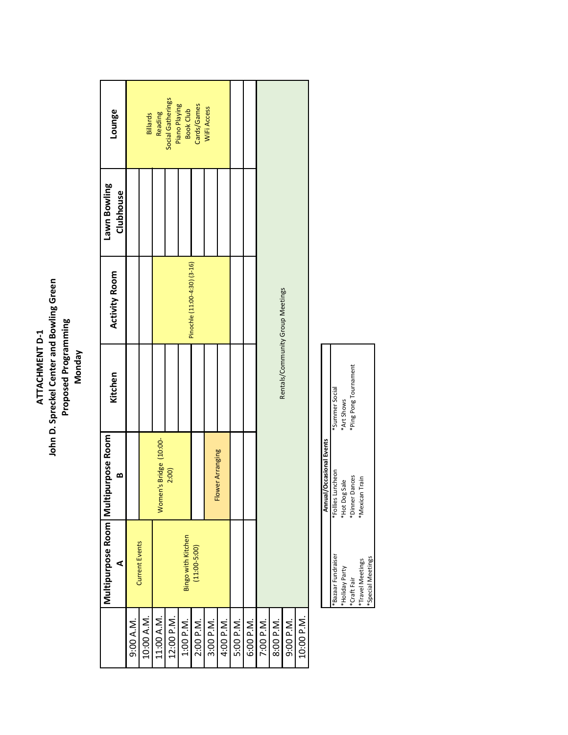# **John D. Spreckel Center and Bowling Green<br>Proposed Programming<br>Monday John D. Spreckel Center and Bowling Green Proposed Programming** ATTACHMENT D-1 **ATTACHMENT D‐1**

|            | Multipurpose Room   Multi | purpose Room           | Kitchen | <b>Activity Room</b>             | Lawn Bowling | Lounge                             |
|------------|---------------------------|------------------------|---------|----------------------------------|--------------|------------------------------------|
|            | ⋖                         | œ                      |         |                                  | Clubhouse    |                                    |
| 9:00 A.M.  | <b>Current Events</b>     |                        |         |                                  |              |                                    |
| 10:00 A.M. |                           |                        |         |                                  |              | Billards                           |
| 11:00 A.M. |                           | Women's Bridge (10:00- |         |                                  |              | Reading                            |
| 12:00 P.M. |                           | 2:00)                  |         |                                  |              | Social Gatherings<br>Piano Playing |
| 1:00 P.M.  | Bingo with Kitchen        |                        |         | Pinochle (11:00-4:30) (3-16)     |              | <b>Book Club</b>                   |
| 2:00 P.M.  | $(11:00-5:00)$            |                        |         |                                  |              | Cards/Games                        |
| 3:00 P.M.  |                           |                        |         |                                  |              | WiFi Access                        |
| 4:00 P.M.  |                           | Flower Arranging       |         |                                  |              |                                    |
| 5:00 P.M.  |                           |                        |         |                                  |              |                                    |
| 6:00 P.M.  |                           |                        |         |                                  |              |                                    |
| 7:00 P.M.  |                           |                        |         |                                  |              |                                    |
| 8:00 P.M.  |                           |                        |         | Rentals/Community Group Meetings |              |                                    |
| 9:00 P.M.  |                           |                        |         |                                  |              |                                    |
| 10:00 P.M. |                           |                        |         |                                  |              |                                    |

|                    | Annual/Occasional Events |                       |
|--------------------|--------------------------|-----------------------|
| *Bazaar Fundraiser | *Follies Luncheon        | *Summer Social        |
| *Holiday Party     | *Hot Dog Sale            | *Art Shows            |
| *Craft Fair        | *Dinner Dances           | *Ping Pong Tournament |
| *Travel Meetings   | Mexican Train            |                       |
| *Special Meetings  |                          |                       |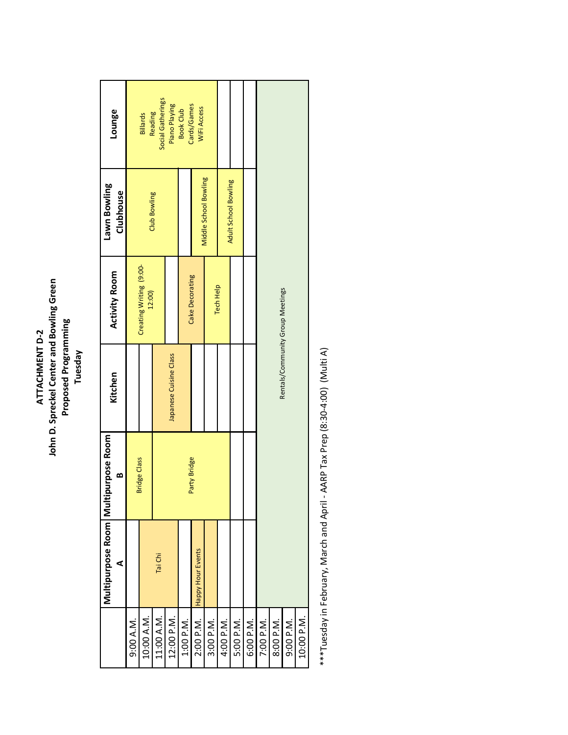# **John D. Spreckel Center and Bowling Green<br>Proposed Programming<br>Tuesday John D. Spreckel Center and Bowling Green Proposed Programming** ATTACHMENT D-2 **ATTACHMENT D‐2**

|            | Multipurpose Room   Multi<br>⋖ | purpose Room<br>∞   | Kitchen                | <b>Activity Room</b>             | Lawn Bowling<br>Clubhouse    | Lounge                          |
|------------|--------------------------------|---------------------|------------------------|----------------------------------|------------------------------|---------------------------------|
| 9:00 A.M.  |                                |                     |                        |                                  |                              |                                 |
| 10:00 A.M. |                                | <b>Bridge Class</b> |                        | Creating Writing (9:00-<br>12:00 | <b>Club Bowling</b>          | Reading<br>Billards             |
| 11:00 A.M. | Tai Chi                        |                     |                        |                                  |                              | Social Gatherings               |
| 12:00 P.M. |                                |                     | Japanese Cuisine Class |                                  |                              | Piano Playing                   |
| 1:00 P.M.  |                                |                     |                        |                                  |                              | Cards/Games<br><b>Book Club</b> |
|            | 2:00 P.M. Happy Hour Events    | Party Bridge        |                        | Cake Decorating                  | <b>Middle School Bowling</b> | WiFi Access                     |
| 3:00 P.M.  |                                |                     |                        | Tech Help                        |                              |                                 |
| 4:00 P.M.  |                                |                     |                        |                                  | Adult School Bowling         |                                 |
| 5:00 P.M.  |                                |                     |                        |                                  |                              |                                 |
| 6:00 P.M.  |                                |                     |                        |                                  |                              |                                 |
| 7:00 P.M.  |                                |                     |                        |                                  |                              |                                 |
| 8:00 P.M.  |                                |                     |                        | Rentals/Community Group Meetings |                              |                                 |
| 9:00 P.M.  |                                |                     |                        |                                  |                              |                                 |
| 10:00 P.M. |                                |                     |                        |                                  |                              |                                 |
|            |                                |                     |                        |                                  |                              |                                 |

\*\*\*Tuesday in February, March and April - AARP Tax Prep (8:30-4:00) (Multi A) \*\*\*Tuesday in February, March and April ‐ AARP Tax Prep (8:30‐4:00) (Multi A)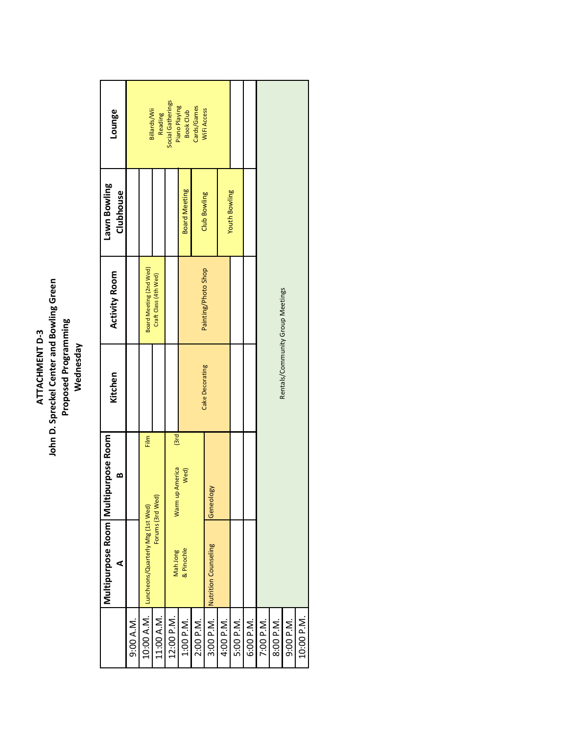# ATTACHMENT D-3<br>John D. Spreckel Center and Bowling Green<br>Proposed Programming<br>Wednesday **John D. Spreckel Center and Bowling Green Proposed Programming ATTACHMENT D‐3 Wednesday**

|            | Multipurpose Room   Multi<br>⋖               | purpose Room<br>œ      | Kitchen         | <b>Activity Room</b>             | Lawn Bowling<br>Clubhouse | Lounge                             |
|------------|----------------------------------------------|------------------------|-----------------|----------------------------------|---------------------------|------------------------------------|
| 9:00 A.M.  |                                              |                        |                 |                                  |                           |                                    |
|            | 10:00 A.M. Luncheons/Quarterly Mtg (1st Wed) | Film                   |                 | Board Meeting (2nd Wed)          |                           | Billards/Wii                       |
| 11:00 A.M. |                                              | Forums (3rd Wed)       |                 | Craft Class (4th Wed)            |                           | Reading                            |
| 12:00 P.M. | Mah Jong                                     | 3rd<br>Warm up America |                 |                                  |                           | Social Gatherings<br>Piano Playing |
| 1:00 P.M.  | & Pinochle                                   | Wed)                   |                 |                                  | <b>Board Meeting</b>      | <b>Book Club</b>                   |
| 2:00 P.M.  |                                              |                        |                 |                                  | Club Bowling              | Cards/Games<br>WiFi Access         |
| 3:00 P.M.  | Nutrition Counseling                         | Geneology              | Cake Decorating | Painting/Photo Shop              |                           |                                    |
| 4:00 P.M.  |                                              |                        |                 |                                  | <b>Youth Bowling</b>      |                                    |
| 5:00 P.M.  |                                              |                        |                 |                                  |                           |                                    |
| 6:00 P.M.  |                                              |                        |                 |                                  |                           |                                    |
| 7:00 P.M.  |                                              |                        |                 |                                  |                           |                                    |
| 8:00 P.M.  |                                              |                        |                 | Rentals/Community Group Meetings |                           |                                    |
| 9:00 P.M.  |                                              |                        |                 |                                  |                           |                                    |
| 10:00 P.M. |                                              |                        |                 |                                  |                           |                                    |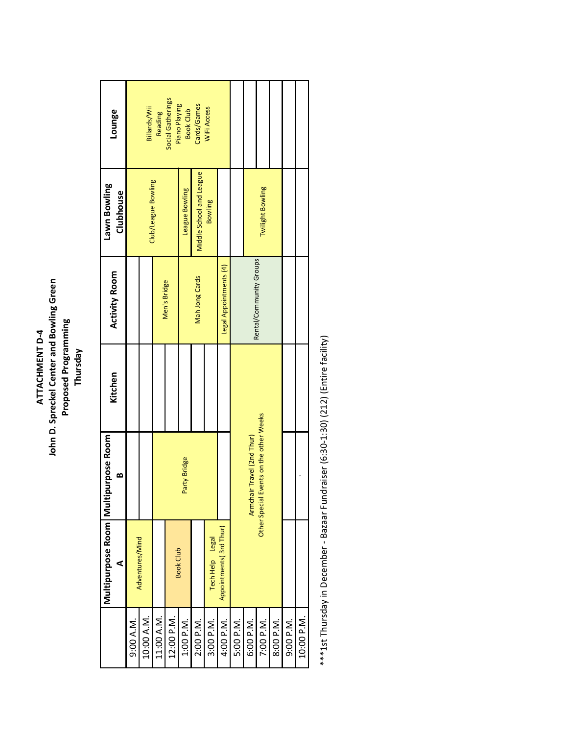# **John D. Spreckel Center and Bowling Green<br>Proposed Programming<br>Thursday John D. Spreckel Center and Bowling Green Proposed Programming** ATTACHMENT D-4 **ATTACHMENT D‐4**

|            | Multipurpose Room   Multipurpose Room<br>⋖ | ∞                                          | Kitchen | <b>Activity Room</b>    | Lawn Bowling<br>Clubhouse | Lounge                            |
|------------|--------------------------------------------|--------------------------------------------|---------|-------------------------|---------------------------|-----------------------------------|
| 9:00 A.M.  |                                            |                                            |         |                         |                           |                                   |
| 10:00 A.M. | Adventures/Mind                            |                                            |         |                         |                           | Billards/Wii                      |
| 11:00 A.M. |                                            |                                            |         |                         | Club/League Bowling       | <b>Reading</b>                    |
| 12:00 P.M. |                                            |                                            |         | Men's Bridge            |                           | Social Gatherings                 |
| 1:00 P.M.  | <b>Book Club</b>                           | Party Bridge                               |         |                         | League Bowling            | Piano Playing<br><b>Book Club</b> |
| 2:00 P.M.  |                                            |                                            |         | <b>Mah Jong Cards</b>   | Middle School and League  | Cards/Games                       |
| 3:00 P.M.  | Tech Help Legal                            |                                            |         |                         | <b>Bowling</b>            | WIFI Access                       |
| 4:00 P.M.  | Appointments (3rd Thur)                    |                                            |         | Legal Appointments (4)  |                           |                                   |
| 5:00 P.M.  |                                            |                                            |         |                         |                           |                                   |
| 6:00 P.M.  |                                            | Armchair Travel (2nd Thur)                 |         | Rental/Community Groups |                           |                                   |
| 7:00 P.M.  |                                            | Events on the other Weeks<br>Other Special |         |                         | Twilight Bowling          |                                   |
| 8:00 P.M.  |                                            |                                            |         |                         |                           |                                   |
| 9:00 P.M.  |                                            |                                            |         |                         |                           |                                   |
| 10:00 P.M. |                                            |                                            |         |                         |                           |                                   |

\*\*\*1st Thursday in December - Bazaar Fundraiser (6:30-1:30) (212) (Entire facility) \*\*\*1st Thursday in December ‐ Bazaar Fundraiser (6:30‐1:30) (212) (Entire facility)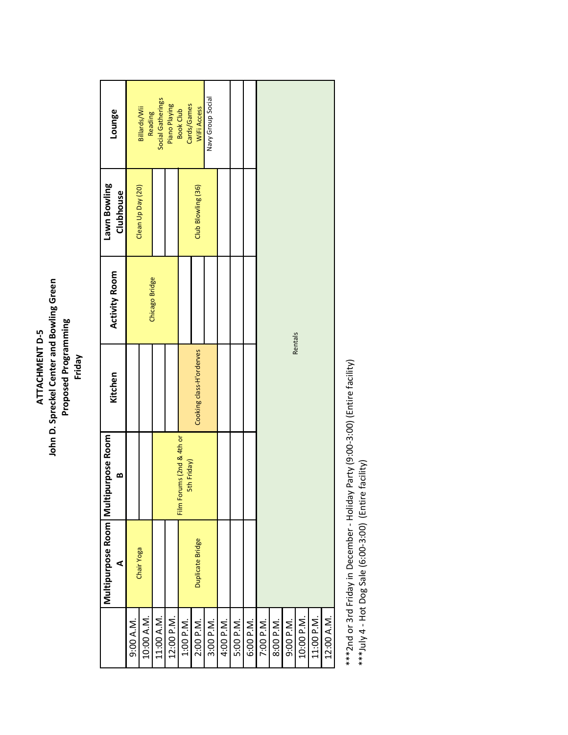# John D. Spreckel Center and Bowling Green **John D. Spreckel Center and Bowling Green** Proposed Programming<br>Friday **Proposed Programming** ATTACHMENT D-5 **ATTACHMENT D‐5**

| Chair Yoga<br>10:00 A.M.<br>11:00 A.M.<br>12:00 P.M.<br>9:00 A.M.<br>1:00 P.M. |                  | œ                                        | Kitchen                  | <b>Activity Room</b> | Clubhouse          | Lounge                          |
|--------------------------------------------------------------------------------|------------------|------------------------------------------|--------------------------|----------------------|--------------------|---------------------------------|
|                                                                                |                  |                                          |                          |                      | Clean Up Day (20)  |                                 |
|                                                                                |                  |                                          |                          |                      |                    | Billards/Wii<br>Reading         |
|                                                                                |                  |                                          |                          | Chicago Bridge       |                    | Social Gatherings               |
|                                                                                |                  |                                          |                          |                      |                    | Piano Playing                   |
|                                                                                |                  | Film Forums (2nd & 4th or<br>5th Friday) |                          |                      |                    | Cards/Games<br><b>Book Club</b> |
| 2:00 P.M.                                                                      | Duplicate Bridge |                                          | Cooking class-H'orderves |                      | Club Blowling (36) | WiFi Access                     |
| 3:00 P.M.                                                                      |                  |                                          |                          |                      |                    | Navy Group Social               |
| 4:00 P.M.                                                                      |                  |                                          |                          |                      |                    |                                 |
| 5:00 P.M.                                                                      |                  |                                          |                          |                      |                    |                                 |
| 6:00 P.M.                                                                      |                  |                                          |                          |                      |                    |                                 |
| 7:00 P.M.                                                                      |                  |                                          |                          |                      |                    |                                 |
| 8:00 P.M.                                                                      |                  |                                          |                          |                      |                    |                                 |
| 9:00 P.M.                                                                      |                  |                                          | Rentals                  |                      |                    |                                 |
| 10:00 P.M.                                                                     |                  |                                          |                          |                      |                    |                                 |
| 11:00 P.M.                                                                     |                  |                                          |                          |                      |                    |                                 |
| 12:00 A.M.                                                                     |                  |                                          |                          |                      |                    |                                 |

\*\*\*2nd or 3rd Friday in December - Holiday Party (9:00-3:00) (Entire facility)<br>\*\*\*July 4 - Hot Dog Sale (6:00-3:00) (Entire facility) \*\*\*2nd or 3rd Friday in December ‐ Holiday Party (9:00‐3:00) (Entire facility)

\*\*\*July 4 ‐ Hot Dog Sale (6:00‐3:00) (Entire facility)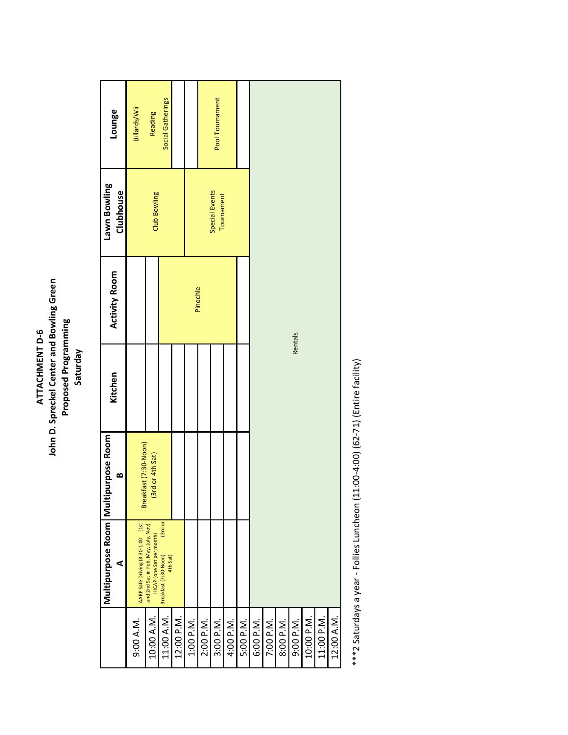# **John D. Spreckel Center and Bowling Green<br>Proposed Programming<br>Saturday John D. Spreckel Center and Bowling Green Proposed Programming** ATTACHMENT D-6 **ATTACHMENT D‐6**

| Pinochle<br>Rentals<br>Breakfast (7:30-Noon)<br>(3rd or 4th Sat)<br>(3rd or<br>AARP Safe Driving (8:30-1:00 (1st<br>and 2nd Sat in Feb, May, July, Nov)<br>HICAP (one Sat per month)<br>Breakfast (7:30-Noon)<br>4th Sat)<br>10:00 A.M.<br>11:00 A.M.<br>12:00 P.M.<br>11:00 P.M.<br>10:00 P.M.<br>1:00 P.M.<br>9:00 A.M.<br>2:00 P.M.<br>3:00 P.M.<br>4:00 P.M.<br>5:00 P.M.<br>6:00 P.M.<br>7:00 P.M.<br>9:00 P.M.<br>8:00 P.M. | Multipurpose Room   Multi<br>⋖ | purpose Room<br>∞ | Kitchen | <b>Activity Room</b> | Lawn Bowling<br>Clubhouse    | Lounge            |
|-----------------------------------------------------------------------------------------------------------------------------------------------------------------------------------------------------------------------------------------------------------------------------------------------------------------------------------------------------------------------------------------------------------------------------------|--------------------------------|-------------------|---------|----------------------|------------------------------|-------------------|
|                                                                                                                                                                                                                                                                                                                                                                                                                                   |                                |                   |         |                      |                              | Billards/Wii      |
|                                                                                                                                                                                                                                                                                                                                                                                                                                   |                                |                   |         |                      | Club Bowling                 | Reading           |
|                                                                                                                                                                                                                                                                                                                                                                                                                                   |                                |                   |         |                      |                              | Social Gatherings |
|                                                                                                                                                                                                                                                                                                                                                                                                                                   |                                |                   |         |                      |                              |                   |
|                                                                                                                                                                                                                                                                                                                                                                                                                                   |                                |                   |         |                      |                              |                   |
|                                                                                                                                                                                                                                                                                                                                                                                                                                   |                                |                   |         |                      |                              |                   |
|                                                                                                                                                                                                                                                                                                                                                                                                                                   |                                |                   |         |                      | Special Events<br>Tournament | Pool Tournament   |
|                                                                                                                                                                                                                                                                                                                                                                                                                                   |                                |                   |         |                      |                              |                   |
|                                                                                                                                                                                                                                                                                                                                                                                                                                   |                                |                   |         |                      |                              |                   |
|                                                                                                                                                                                                                                                                                                                                                                                                                                   |                                |                   |         |                      |                              |                   |
|                                                                                                                                                                                                                                                                                                                                                                                                                                   |                                |                   |         |                      |                              |                   |
|                                                                                                                                                                                                                                                                                                                                                                                                                                   |                                |                   |         |                      |                              |                   |
|                                                                                                                                                                                                                                                                                                                                                                                                                                   |                                |                   |         |                      |                              |                   |
|                                                                                                                                                                                                                                                                                                                                                                                                                                   |                                |                   |         |                      |                              |                   |
|                                                                                                                                                                                                                                                                                                                                                                                                                                   |                                |                   |         |                      |                              |                   |
| 12:00 A.M.                                                                                                                                                                                                                                                                                                                                                                                                                        |                                |                   |         |                      |                              |                   |

\*\*\*2 Saturdays a year - Follies Luncheon (11:00-4:00) (62-71) (Entire facility) \*\*\*2 Saturdays a year ‐ Follies Luncheon (11:00‐4:00) (62‐71) (Entire facility)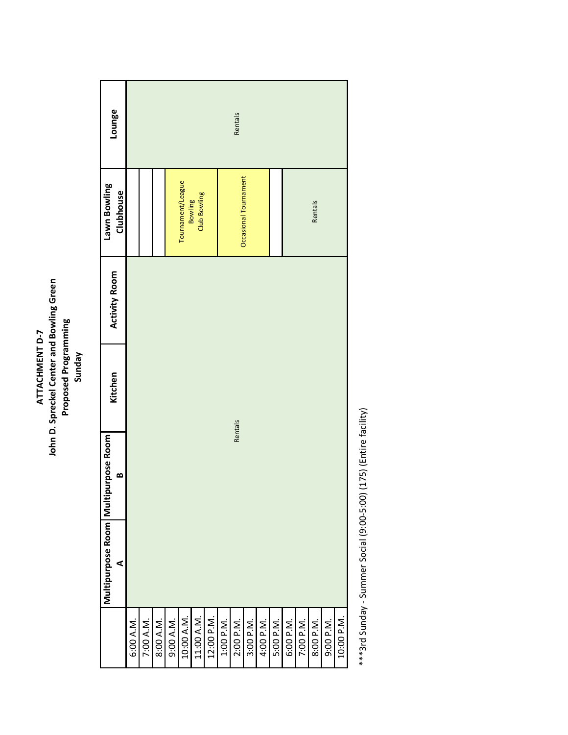# **John D. Spreckel Center and Bowling Green<br>Proposed Programming<br>Sunday John D. Spreckel Center and Bowling Green Proposed Programming** ATTACHMENT D-7 **ATTACHMENT D‐7**

| <b>Activity Room</b> |
|----------------------|
|                      |
|                      |
|                      |
|                      |
|                      |
|                      |
|                      |
|                      |

\*\*\*3rd Sunday - Summer Social (9:00-5:00) (175) (Entire facility) \*\*\*3rd Sunday ‐ Summer Social (9:00‐5:00) (175) (Entire facility)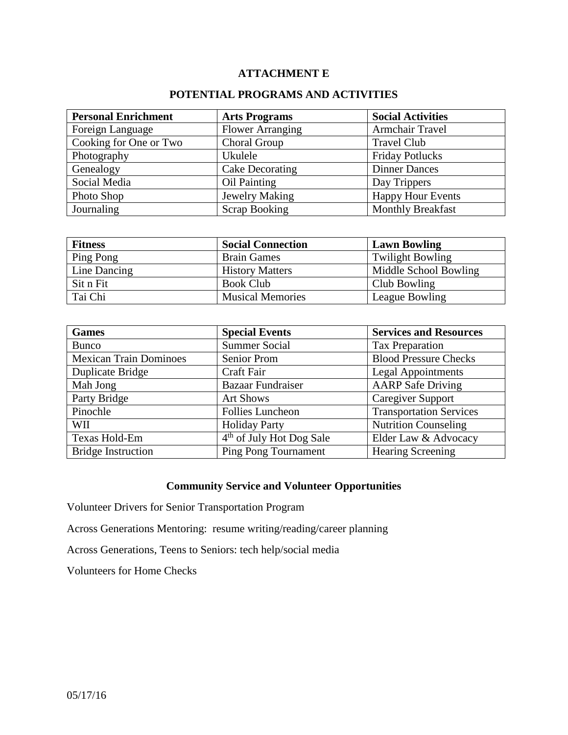### **ATTACHMENT E**

#### **POTENTIAL PROGRAMS AND ACTIVITIES**

| <b>Personal Enrichment</b> | <b>Arts Programs</b>    | <b>Social Activities</b> |
|----------------------------|-------------------------|--------------------------|
| Foreign Language           | <b>Flower Arranging</b> | <b>Armchair Travel</b>   |
| Cooking for One or Two     | Choral Group            | <b>Travel Club</b>       |
| Photography                | Ukulele                 | <b>Friday Potlucks</b>   |
| Genealogy                  | Cake Decorating         | <b>Dinner Dances</b>     |
| Social Media               | Oil Painting            | Day Trippers             |
| Photo Shop                 | Jewelry Making          | <b>Happy Hour Events</b> |
| Journaling                 | <b>Scrap Booking</b>    | <b>Monthly Breakfast</b> |

| <b>Fitness</b>      | <b>Social Connection</b> | <b>Lawn Bowling</b>     |
|---------------------|--------------------------|-------------------------|
| Ping Pong           | <b>Brain Games</b>       | <b>Twilight Bowling</b> |
| <b>Line Dancing</b> | <b>History Matters</b>   | Middle School Bowling   |
| Sit n Fit           | <b>Book Club</b>         | Club Bowling            |
| Tai Chi             | <b>Musical Memories</b>  | League Bowling          |

| <b>Games</b>                  | <b>Special Events</b>                | <b>Services and Resources</b>  |
|-------------------------------|--------------------------------------|--------------------------------|
| <b>Bunco</b>                  | <b>Summer Social</b>                 | Tax Preparation                |
| <b>Mexican Train Dominoes</b> | <b>Senior Prom</b>                   | <b>Blood Pressure Checks</b>   |
| Duplicate Bridge              | Craft Fair                           | <b>Legal Appointments</b>      |
| Mah Jong                      | <b>Bazaar Fundraiser</b>             | <b>AARP</b> Safe Driving       |
| Party Bridge                  | <b>Art Shows</b>                     | <b>Caregiver Support</b>       |
| Pinochle                      | <b>Follies Luncheon</b>              | <b>Transportation Services</b> |
| WII                           | <b>Holiday Party</b>                 | <b>Nutrition Counseling</b>    |
| Texas Hold-Em                 | 4 <sup>th</sup> of July Hot Dog Sale | Elder Law & Advocacy           |
| <b>Bridge Instruction</b>     | <b>Ping Pong Tournament</b>          | <b>Hearing Screening</b>       |

# **Community Service and Volunteer Opportunities**

Volunteer Drivers for Senior Transportation Program

Across Generations Mentoring: resume writing/reading/career planning

Across Generations, Teens to Seniors: tech help/social media

Volunteers for Home Checks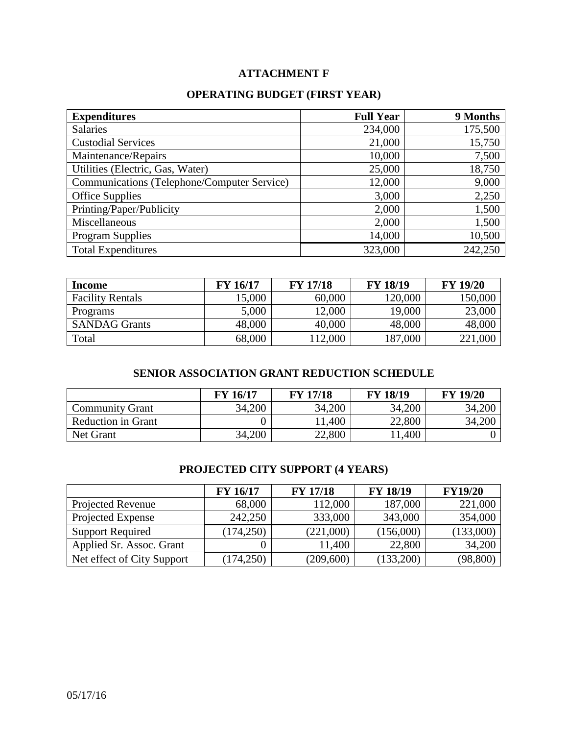# **ATTACHMENT F**

## **OPERATING BUDGET (FIRST YEAR)**

| <b>Expenditures</b>                         | <b>Full Year</b> | 9 Months |
|---------------------------------------------|------------------|----------|
| <b>Salaries</b>                             | 234,000          | 175,500  |
| <b>Custodial Services</b>                   | 21,000           | 15,750   |
| Maintenance/Repairs                         | 10,000           | 7,500    |
| Utilities (Electric, Gas, Water)            | 25,000           | 18,750   |
| Communications (Telephone/Computer Service) | 12,000           | 9,000    |
| <b>Office Supplies</b>                      | 3,000            | 2,250    |
| Printing/Paper/Publicity                    | 2,000            | 1,500    |
| Miscellaneous                               | 2,000            | 1,500    |
| <b>Program Supplies</b>                     | 14,000           | 10,500   |
| <b>Total Expenditures</b>                   | 323,000          | 242,250  |

| <b>Income</b>           | <b>FY 16/17</b> | <b>FY 17/18</b> | <b>FY 18/19</b> | <b>FY 19/20</b> |
|-------------------------|-----------------|-----------------|-----------------|-----------------|
| <b>Facility Rentals</b> | 15,000          | 60,000          | 120,000         | 150,000         |
| Programs                | 5,000           | 12,000          | 19,000          | 23,000          |
| <b>SANDAG Grants</b>    | 48,000          | 40,000          | 48,000          | 48,000          |
| Total                   | 68,000          | 112,000         | 187,000         | 221,000         |

## **SENIOR ASSOCIATION GRANT REDUCTION SCHEDULE**

|                           | <b>FY 16/17</b> | <b>FY 17/18</b> | <b>FY 18/19</b> | <b>FY 19/20</b> |
|---------------------------|-----------------|-----------------|-----------------|-----------------|
| <b>Community Grant</b>    | 34,200          | 34,200          | 34,200          | 34,200          |
| <b>Reduction in Grant</b> |                 | 11,400          | 22,800          | 34,200          |
| Net Grant                 | 34,200          | 22,800          | 11,400          |                 |

#### **PROJECTED CITY SUPPORT (4 YEARS)**

|                            | <b>FY 16/17</b> | <b>FY 17/18</b> | <b>FY 18/19</b> | <b>FY19/20</b> |
|----------------------------|-----------------|-----------------|-----------------|----------------|
| Projected Revenue          | 68,000          | 112,000         | 187,000         | 221,000        |
| Projected Expense          | 242,250         | 333,000         | 343,000         | 354,000        |
| <b>Support Required</b>    | (174, 250)      | (221,000)       | (156,000)       | (133,000)      |
| Applied Sr. Assoc. Grant   |                 | 11,400          | 22,800          | 34,200         |
| Net effect of City Support | (174, 250)      | (209, 600)      | (133,200)       | (98, 800)      |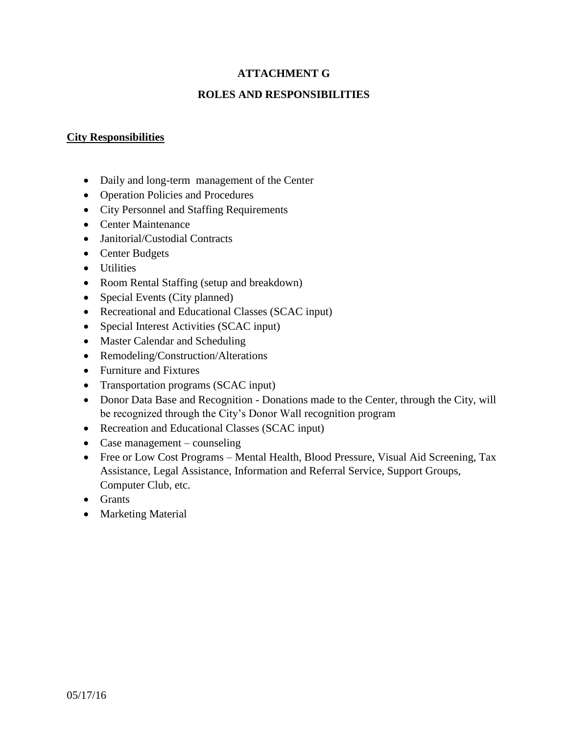### **ATTACHMENT G**

### **ROLES AND RESPONSIBILITIES**

#### **City Responsibilities**

- Daily and long-term management of the Center
- Operation Policies and Procedures
- City Personnel and Staffing Requirements
- Center Maintenance
- **Janitorial/Custodial Contracts**
- Center Budgets
- Utilities
- Room Rental Staffing (setup and breakdown)
- Special Events (City planned)
- Recreational and Educational Classes (SCAC input)
- Special Interest Activities (SCAC input)
- Master Calendar and Scheduling
- Remodeling/Construction/Alterations
- Furniture and Fixtures
- Transportation programs (SCAC input)
- Donor Data Base and Recognition Donations made to the Center, through the City, will be recognized through the City's Donor Wall recognition program
- Recreation and Educational Classes (SCAC input)
- Case management counseling
- Free or Low Cost Programs Mental Health, Blood Pressure, Visual Aid Screening, Tax Assistance, Legal Assistance, Information and Referral Service, Support Groups, Computer Club, etc.
- Grants
- Marketing Material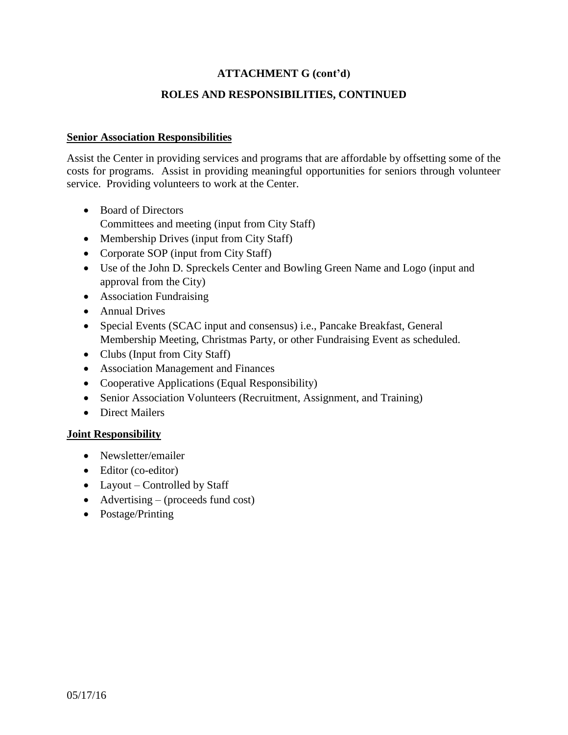### **ATTACHMENT G (cont'd)**

#### **ROLES AND RESPONSIBILITIES, CONTINUED**

#### **Senior Association Responsibilities**

Assist the Center in providing services and programs that are affordable by offsetting some of the costs for programs. Assist in providing meaningful opportunities for seniors through volunteer service. Providing volunteers to work at the Center.

- Board of Directors
	- Committees and meeting (input from City Staff)
- Membership Drives (input from City Staff)
- Corporate SOP (input from City Staff)
- Use of the John D. Spreckels Center and Bowling Green Name and Logo (input and approval from the City)
- Association Fundraising
- Annual Drives
- Special Events (SCAC input and consensus) i.e., Pancake Breakfast, General Membership Meeting, Christmas Party, or other Fundraising Event as scheduled.
- Clubs (Input from City Staff)
- Association Management and Finances
- Cooperative Applications (Equal Responsibility)
- Senior Association Volunteers (Recruitment, Assignment, and Training)
- Direct Mailers

#### **Joint Responsibility**

- Newsletter/emailer
- Editor (co-editor)
- Layout Controlled by Staff
- $\bullet$  Advertising (proceeds fund cost)
- Postage/Printing